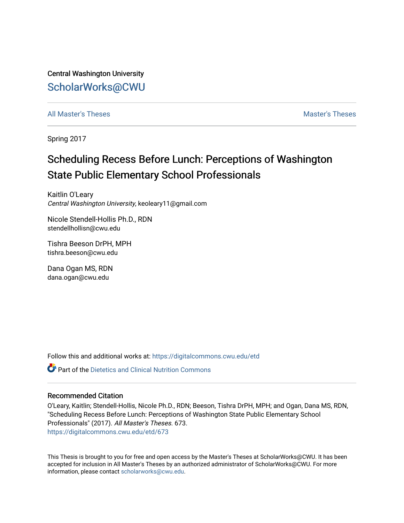Central Washington University [ScholarWorks@CWU](https://digitalcommons.cwu.edu/) 

[All Master's Theses](https://digitalcommons.cwu.edu/etd) and the set of the set of the set of the set of the set of the set of the set of the set of the set of the set of the set of the set of the set of the set of the set of the set of the set of the set of

Spring 2017

# Scheduling Recess Before Lunch: Perceptions of Washington State Public Elementary School Professionals

Kaitlin O'Leary Central Washington University, keoleary11@gmail.com

Nicole Stendell-Hollis Ph.D., RDN stendellhollisn@cwu.edu

Tishra Beeson DrPH, MPH tishra.beeson@cwu.edu

Dana Ogan MS, RDN dana.ogan@cwu.edu

Follow this and additional works at: [https://digitalcommons.cwu.edu/etd](https://digitalcommons.cwu.edu/etd?utm_source=digitalcommons.cwu.edu%2Fetd%2F673&utm_medium=PDF&utm_campaign=PDFCoverPages) 

**P** Part of the Dietetics and Clinical Nutrition Commons

# Recommended Citation

O'Leary, Kaitlin; Stendell-Hollis, Nicole Ph.D., RDN; Beeson, Tishra DrPH, MPH; and Ogan, Dana MS, RDN, "Scheduling Recess Before Lunch: Perceptions of Washington State Public Elementary School Professionals" (2017). All Master's Theses. 673. [https://digitalcommons.cwu.edu/etd/673](https://digitalcommons.cwu.edu/etd/673?utm_source=digitalcommons.cwu.edu%2Fetd%2F673&utm_medium=PDF&utm_campaign=PDFCoverPages) 

This Thesis is brought to you for free and open access by the Master's Theses at ScholarWorks@CWU. It has been accepted for inclusion in All Master's Theses by an authorized administrator of ScholarWorks@CWU. For more information, please contact [scholarworks@cwu.edu.](mailto:scholarworks@cwu.edu)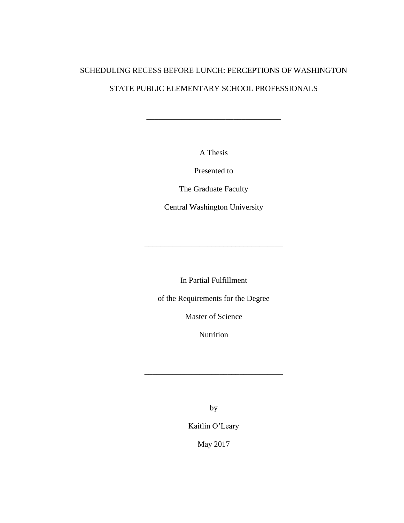# SCHEDULING RECESS BEFORE LUNCH: PERCEPTIONS OF WASHINGTON STATE PUBLIC ELEMENTARY SCHOOL PROFESSIONALS

A Thesis

\_\_\_\_\_\_\_\_\_\_\_\_\_\_\_\_\_\_\_\_\_\_\_\_\_\_\_\_\_\_\_\_\_\_

Presented to

The Graduate Faculty

Central Washington University

In Partial Fulfillment

\_\_\_\_\_\_\_\_\_\_\_\_\_\_\_\_\_\_\_\_\_\_\_\_\_\_\_\_\_\_\_\_\_\_\_

of the Requirements for the Degree

Master of Science

Nutrition

\_\_\_\_\_\_\_\_\_\_\_\_\_\_\_\_\_\_\_\_\_\_\_\_\_\_\_\_\_\_\_\_\_\_\_

by

Kaitlin O'Leary

May 2017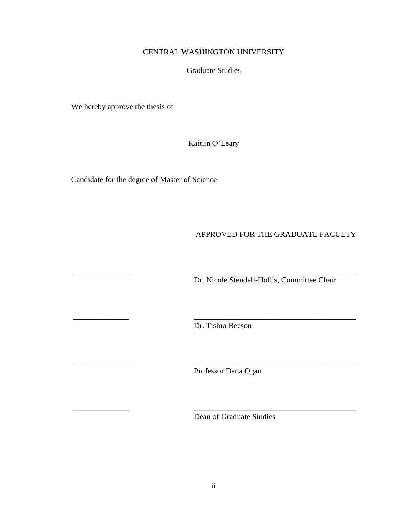# CENTRAL WASHINGTON UNIVERSITY

# Graduate Studies

We hereby approve the thesis of

Kaitlin O'Leary

Candidate for the degree of Master of Science

# APPROVED FOR THE GRADUATE FACULTY

Dr. Nicole Stendell-Hollis, Committee Chair

Dr. Tishra Beeson

\_\_\_\_\_\_\_\_\_\_\_\_\_\_ \_\_\_\_\_\_\_\_\_\_\_\_\_\_\_\_\_\_\_\_\_\_\_\_\_\_\_\_\_\_\_\_\_\_\_\_\_\_\_\_\_

\_\_\_\_\_\_\_\_\_\_\_\_\_\_ \_\_\_\_\_\_\_\_\_\_\_\_\_\_\_\_\_\_\_\_\_\_\_\_\_\_\_\_\_\_\_\_\_\_\_\_\_\_\_\_\_

\_\_\_\_\_\_\_\_\_\_\_\_\_\_ \_\_\_\_\_\_\_\_\_\_\_\_\_\_\_\_\_\_\_\_\_\_\_\_\_\_\_\_\_\_\_\_\_\_\_\_\_\_\_\_\_

\_\_\_\_\_\_\_\_\_\_\_\_\_\_ \_\_\_\_\_\_\_\_\_\_\_\_\_\_\_\_\_\_\_\_\_\_\_\_\_\_\_\_\_\_\_\_\_\_\_\_\_\_\_\_\_

Professor Dana Ogan

Dean of Graduate Studies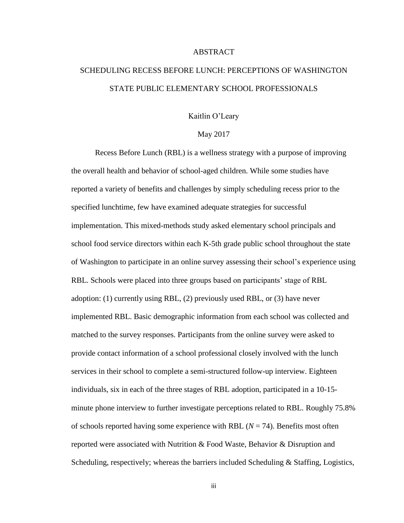# ABSTRACT

# SCHEDULING RECESS BEFORE LUNCH: PERCEPTIONS OF WASHINGTON STATE PUBLIC ELEMENTARY SCHOOL PROFESSIONALS

# Kaitlin O'Leary

# May 2017

Recess Before Lunch (RBL) is a wellness strategy with a purpose of improving the overall health and behavior of school-aged children. While some studies have reported a variety of benefits and challenges by simply scheduling recess prior to the specified lunchtime, few have examined adequate strategies for successful implementation. This mixed-methods study asked elementary school principals and school food service directors within each K-5th grade public school throughout the state of Washington to participate in an online survey assessing their school's experience using RBL. Schools were placed into three groups based on participants' stage of RBL adoption: (1) currently using RBL, (2) previously used RBL, or (3) have never implemented RBL. Basic demographic information from each school was collected and matched to the survey responses. Participants from the online survey were asked to provide contact information of a school professional closely involved with the lunch services in their school to complete a semi-structured follow-up interview. Eighteen individuals, six in each of the three stages of RBL adoption, participated in a 10-15 minute phone interview to further investigate perceptions related to RBL. Roughly 75.8% of schools reported having some experience with RBL  $(N = 74)$ . Benefits most often reported were associated with Nutrition & Food Waste, Behavior & Disruption and Scheduling, respectively; whereas the barriers included Scheduling & Staffing, Logistics,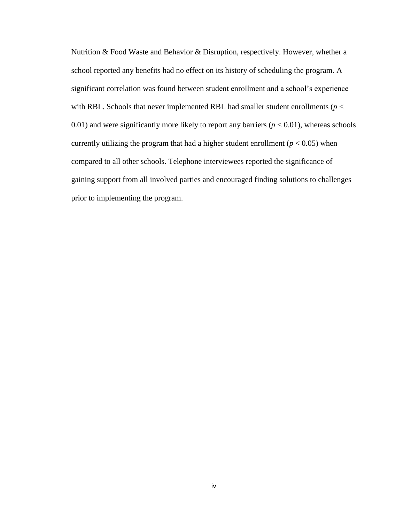Nutrition & Food Waste and Behavior & Disruption, respectively. However, whether a school reported any benefits had no effect on its history of scheduling the program. A significant correlation was found between student enrollment and a school's experience with RBL. Schools that never implemented RBL had smaller student enrollments ( $p <$ 0.01) and were significantly more likely to report any barriers  $(p < 0.01)$ , whereas schools currently utilizing the program that had a higher student enrollment ( $p < 0.05$ ) when compared to all other schools. Telephone interviewees reported the significance of gaining support from all involved parties and encouraged finding solutions to challenges prior to implementing the program.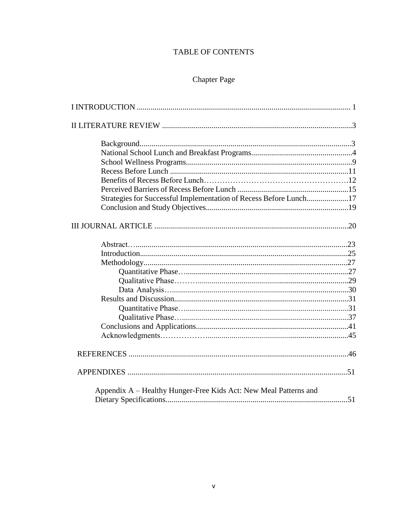# TABLE OF CONTENTS

# Chapter Page

| Strategies for Successful Implementation of Recess Before Lunch17 |  |
|-------------------------------------------------------------------|--|
|                                                                   |  |
|                                                                   |  |
|                                                                   |  |
|                                                                   |  |
|                                                                   |  |
|                                                                   |  |
|                                                                   |  |
|                                                                   |  |
|                                                                   |  |
|                                                                   |  |
|                                                                   |  |
|                                                                   |  |
|                                                                   |  |
|                                                                   |  |
|                                                                   |  |
|                                                                   |  |
| Appendix A – Healthy Hunger-Free Kids Act: New Meal Patterns and  |  |
|                                                                   |  |
|                                                                   |  |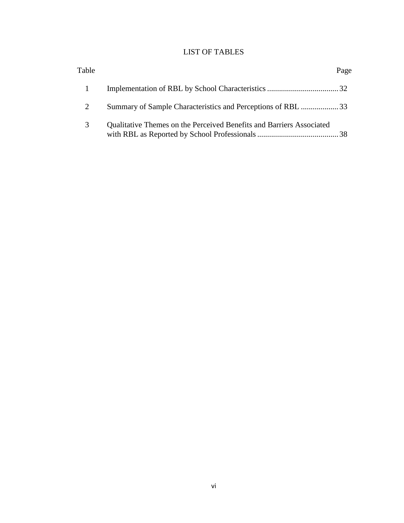# LIST OF TABLES

| Table |                                                                      | Page |
|-------|----------------------------------------------------------------------|------|
|       |                                                                      |      |
|       | Summary of Sample Characteristics and Perceptions of RBL 33          |      |
| 3     | Qualitative Themes on the Perceived Benefits and Barriers Associated |      |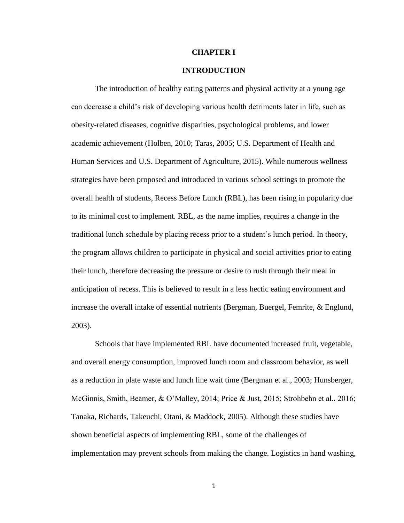### **CHAPTER I**

# **INTRODUCTION**

The introduction of healthy eating patterns and physical activity at a young age can decrease a child's risk of developing various health detriments later in life, such as obesity-related diseases, cognitive disparities, psychological problems, and lower academic achievement (Holben, 2010; Taras, 2005; U.S. Department of Health and Human Services and U.S. Department of Agriculture, 2015). While numerous wellness strategies have been proposed and introduced in various school settings to promote the overall health of students, Recess Before Lunch (RBL), has been rising in popularity due to its minimal cost to implement. RBL, as the name implies, requires a change in the traditional lunch schedule by placing recess prior to a student's lunch period. In theory, the program allows children to participate in physical and social activities prior to eating their lunch, therefore decreasing the pressure or desire to rush through their meal in anticipation of recess. This is believed to result in a less hectic eating environment and increase the overall intake of essential nutrients (Bergman, Buergel, Femrite, & Englund, 2003).

Schools that have implemented RBL have documented increased fruit, vegetable, and overall energy consumption, improved lunch room and classroom behavior, as well as a reduction in plate waste and lunch line wait time (Bergman et al., 2003; Hunsberger, McGinnis, Smith, Beamer, & O'Malley, 2014; Price & Just, 2015; Strohbehn et al., 2016; Tanaka, Richards, Takeuchi, Otani, & Maddock, 2005). Although these studies have shown beneficial aspects of implementing RBL, some of the challenges of implementation may prevent schools from making the change. Logistics in hand washing,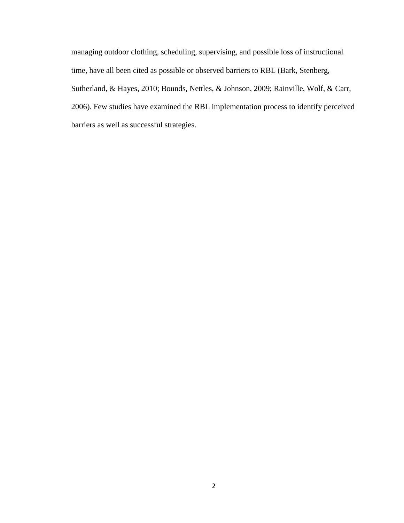managing outdoor clothing, scheduling, supervising, and possible loss of instructional time, have all been cited as possible or observed barriers to RBL (Bark, Stenberg, Sutherland, & Hayes, 2010; Bounds, Nettles, & Johnson, 2009; Rainville, Wolf, & Carr, 2006). Few studies have examined the RBL implementation process to identify perceived barriers as well as successful strategies.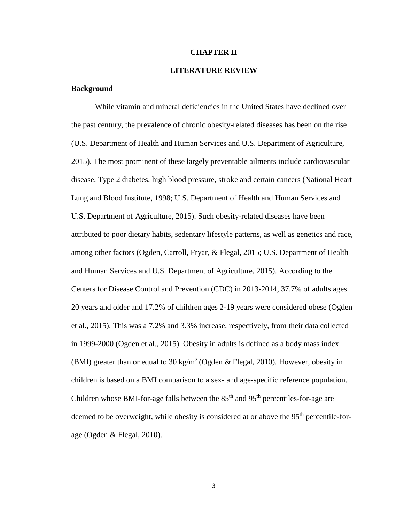### **CHAPTER II**

# **LITERATURE REVIEW**

# **Background**

While vitamin and mineral deficiencies in the United States have declined over the past century, the prevalence of chronic obesity-related diseases has been on the rise (U.S. Department of Health and Human Services and U.S. Department of Agriculture, 2015). The most prominent of these largely preventable ailments include cardiovascular disease, Type 2 diabetes, high blood pressure, stroke and certain cancers (National Heart Lung and Blood Institute, 1998; U.S. Department of Health and Human Services and U.S. Department of Agriculture, 2015). Such obesity-related diseases have been attributed to poor dietary habits, sedentary lifestyle patterns, as well as genetics and race, among other factors (Ogden, Carroll, Fryar, & Flegal, 2015; U.S. Department of Health and Human Services and U.S. Department of Agriculture, 2015). According to the Centers for Disease Control and Prevention (CDC) in 2013-2014, 37.7% of adults ages 20 years and older and 17.2% of children ages 2-19 years were considered obese (Ogden et al., 2015). This was a 7.2% and 3.3% increase, respectively, from their data collected in 1999-2000 (Ogden et al., 2015). Obesity in adults is defined as a body mass index (BMI) greater than or equal to 30 kg/m<sup>2</sup> (Ogden & Flegal, 2010). However, obesity in children is based on a BMI comparison to a sex- and age-specific reference population. Children whose BMI-for-age falls between the  $85<sup>th</sup>$  and  $95<sup>th</sup>$  percentiles-for-age are deemed to be overweight, while obesity is considered at or above the 95<sup>th</sup> percentile-forage (Ogden & Flegal, 2010).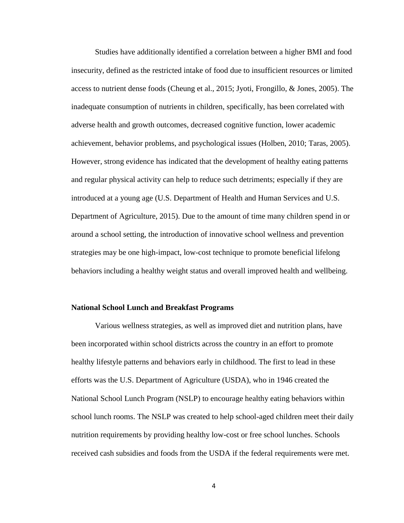Studies have additionally identified a correlation between a higher BMI and food insecurity, defined as the restricted intake of food due to insufficient resources or limited access to nutrient dense foods (Cheung et al., 2015; Jyoti, Frongillo, & Jones, 2005). The inadequate consumption of nutrients in children, specifically, has been correlated with adverse health and growth outcomes, decreased cognitive function, lower academic achievement, behavior problems, and psychological issues (Holben, 2010; Taras, 2005). However, strong evidence has indicated that the development of healthy eating patterns and regular physical activity can help to reduce such detriments; especially if they are introduced at a young age (U.S. Department of Health and Human Services and U.S. Department of Agriculture, 2015). Due to the amount of time many children spend in or around a school setting, the introduction of innovative school wellness and prevention strategies may be one high-impact, low-cost technique to promote beneficial lifelong behaviors including a healthy weight status and overall improved health and wellbeing.

#### **National School Lunch and Breakfast Programs**

Various wellness strategies, as well as improved diet and nutrition plans, have been incorporated within school districts across the country in an effort to promote healthy lifestyle patterns and behaviors early in childhood. The first to lead in these efforts was the U.S. Department of Agriculture (USDA), who in 1946 created the National School Lunch Program (NSLP) to encourage healthy eating behaviors within school lunch rooms. The NSLP was created to help school-aged children meet their daily nutrition requirements by providing healthy low-cost or free school lunches. Schools received cash subsidies and foods from the USDA if the federal requirements were met.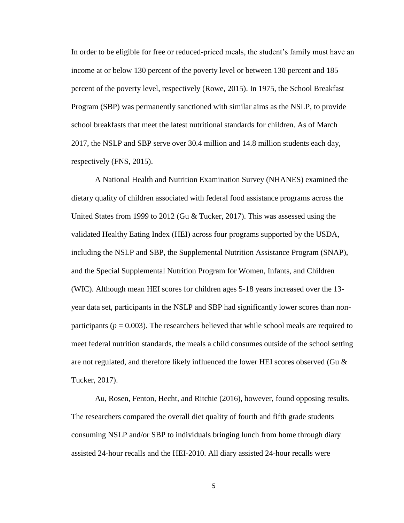In order to be eligible for free or reduced-priced meals, the student's family must have an income at or below 130 percent of the poverty level or between 130 percent and 185 percent of the poverty level, respectively (Rowe, 2015). In 1975, the School Breakfast Program (SBP) was permanently sanctioned with similar aims as the NSLP, to provide school breakfasts that meet the latest nutritional standards for children. As of March 2017, the NSLP and SBP serve over 30.4 million and 14.8 million students each day, respectively (FNS, 2015).

A National Health and Nutrition Examination Survey (NHANES) examined the dietary quality of children associated with federal food assistance programs across the United States from 1999 to 2012 (Gu & Tucker, 2017). This was assessed using the validated Healthy Eating Index (HEI) across four programs supported by the USDA, including the NSLP and SBP, the Supplemental Nutrition Assistance Program (SNAP), and the Special Supplemental Nutrition Program for Women, Infants, and Children (WIC). Although mean HEI scores for children ages 5-18 years increased over the 13 year data set, participants in the NSLP and SBP had significantly lower scores than nonparticipants ( $p = 0.003$ ). The researchers believed that while school meals are required to meet federal nutrition standards, the meals a child consumes outside of the school setting are not regulated, and therefore likely influenced the lower HEI scores observed (Gu  $\&$ Tucker, 2017).

Au, Rosen, Fenton, Hecht, and Ritchie (2016), however, found opposing results. The researchers compared the overall diet quality of fourth and fifth grade students consuming NSLP and/or SBP to individuals bringing lunch from home through diary assisted 24-hour recalls and the HEI-2010. All diary assisted 24-hour recalls were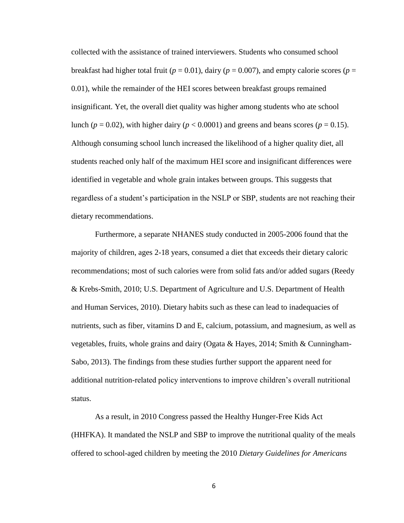collected with the assistance of trained interviewers. Students who consumed school breakfast had higher total fruit ( $p = 0.01$ ), dairy ( $p = 0.007$ ), and empty calorie scores ( $p =$ 0.01), while the remainder of the HEI scores between breakfast groups remained insignificant. Yet, the overall diet quality was higher among students who ate school lunch ( $p = 0.02$ ), with higher dairy ( $p < 0.0001$ ) and greens and beans scores ( $p = 0.15$ ). Although consuming school lunch increased the likelihood of a higher quality diet, all students reached only half of the maximum HEI score and insignificant differences were identified in vegetable and whole grain intakes between groups. This suggests that regardless of a student's participation in the NSLP or SBP, students are not reaching their dietary recommendations.

Furthermore, a separate NHANES study conducted in 2005-2006 found that the majority of children, ages 2-18 years, consumed a diet that exceeds their dietary caloric recommendations; most of such calories were from solid fats and/or added sugars (Reedy & Krebs-Smith, 2010; U.S. Department of Agriculture and U.S. Department of Health and Human Services, 2010). Dietary habits such as these can lead to inadequacies of nutrients, such as fiber, vitamins D and E, calcium, potassium, and magnesium, as well as vegetables, fruits, whole grains and dairy (Ogata & Hayes, 2014; Smith & Cunningham-Sabo, 2013). The findings from these studies further support the apparent need for additional nutrition-related policy interventions to improve children's overall nutritional status.

As a result, in 2010 Congress passed the Healthy Hunger-Free Kids Act (HHFKA). It mandated the NSLP and SBP to improve the nutritional quality of the meals offered to school-aged children by meeting the 2010 *Dietary Guidelines for Americans*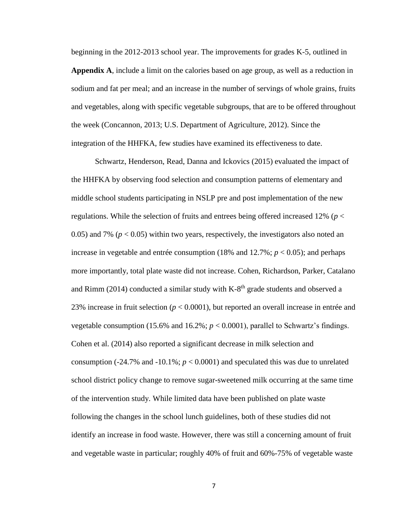beginning in the 2012-2013 school year. The improvements for grades K-5, outlined in **Appendix A**, include a limit on the calories based on age group, as well as a reduction in sodium and fat per meal; and an increase in the number of servings of whole grains, fruits and vegetables, along with specific vegetable subgroups, that are to be offered throughout the week (Concannon, 2013; U.S. Department of Agriculture, 2012). Since the integration of the HHFKA, few studies have examined its effectiveness to date.

Schwartz, Henderson, Read, Danna and Ickovics (2015) evaluated the impact of the HHFKA by observing food selection and consumption patterns of elementary and middle school students participating in NSLP pre and post implementation of the new regulations. While the selection of fruits and entrees being offered increased 12% (*p* < 0.05) and 7% ( $p < 0.05$ ) within two years, respectively, the investigators also noted an increase in vegetable and entrée consumption  $(18\% \text{ and } 12.7\%; p < 0.05)$ ; and perhaps more importantly, total plate waste did not increase. Cohen, Richardson, Parker, Catalano and Rimm  $(2014)$  conducted a similar study with K-8<sup>th</sup> grade students and observed a 23% increase in fruit selection (*p* < 0.0001), but reported an overall increase in entrée and vegetable consumption (15.6% and 16.2%;  $p < 0.0001$ ), parallel to Schwartz's findings. Cohen et al. (2014) also reported a significant decrease in milk selection and consumption  $(-24.7\%$  and  $-10.1\%$ ;  $p < 0.0001$ ) and speculated this was due to unrelated school district policy change to remove sugar-sweetened milk occurring at the same time of the intervention study. While limited data have been published on plate waste following the changes in the school lunch guidelines, both of these studies did not identify an increase in food waste. However, there was still a concerning amount of fruit and vegetable waste in particular; roughly 40% of fruit and 60%-75% of vegetable waste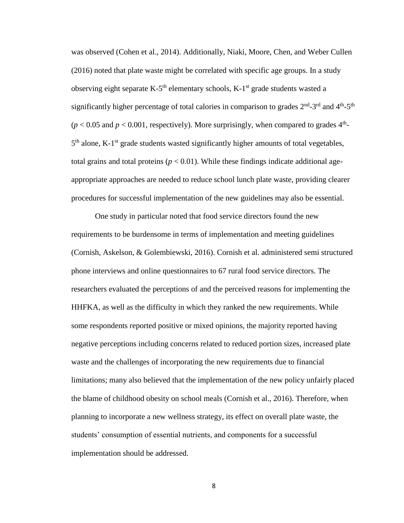was observed (Cohen et al., 2014). Additionally, Niaki, Moore, Chen, and Weber Cullen (2016) noted that plate waste might be correlated with specific age groups. In a study observing eight separate K-5<sup>th</sup> elementary schools, K-1<sup>st</sup> grade students wasted a significantly higher percentage of total calories in comparison to grades  $2<sup>nd</sup>$ -3<sup>rd</sup> and  $4<sup>th</sup>$ -5<sup>th</sup>  $(p < 0.05$  and  $p < 0.001$ , respectively). More surprisingly, when compared to grades  $4<sup>th</sup>$ -5<sup>th</sup> alone, K-1<sup>st</sup> grade students wasted significantly higher amounts of total vegetables, total grains and total proteins ( $p < 0.01$ ). While these findings indicate additional ageappropriate approaches are needed to reduce school lunch plate waste, providing clearer procedures for successful implementation of the new guidelines may also be essential.

One study in particular noted that food service directors found the new requirements to be burdensome in terms of implementation and meeting guidelines (Cornish, Askelson, & Golembiewski, 2016). Cornish et al. administered semi structured phone interviews and online questionnaires to 67 rural food service directors. The researchers evaluated the perceptions of and the perceived reasons for implementing the HHFKA, as well as the difficulty in which they ranked the new requirements. While some respondents reported positive or mixed opinions, the majority reported having negative perceptions including concerns related to reduced portion sizes, increased plate waste and the challenges of incorporating the new requirements due to financial limitations; many also believed that the implementation of the new policy unfairly placed the blame of childhood obesity on school meals (Cornish et al., 2016). Therefore, when planning to incorporate a new wellness strategy, its effect on overall plate waste, the students' consumption of essential nutrients, and components for a successful implementation should be addressed.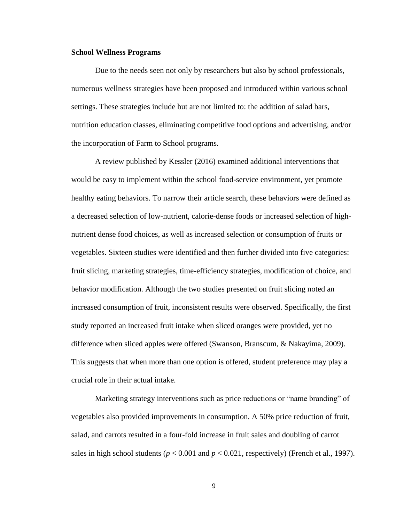#### **School Wellness Programs**

Due to the needs seen not only by researchers but also by school professionals, numerous wellness strategies have been proposed and introduced within various school settings. These strategies include but are not limited to: the addition of salad bars, nutrition education classes, eliminating competitive food options and advertising, and/or the incorporation of Farm to School programs.

A review published by Kessler (2016) examined additional interventions that would be easy to implement within the school food-service environment, yet promote healthy eating behaviors. To narrow their article search, these behaviors were defined as a decreased selection of low-nutrient, calorie-dense foods or increased selection of highnutrient dense food choices, as well as increased selection or consumption of fruits or vegetables. Sixteen studies were identified and then further divided into five categories: fruit slicing, marketing strategies, time-efficiency strategies, modification of choice, and behavior modification. Although the two studies presented on fruit slicing noted an increased consumption of fruit, inconsistent results were observed. Specifically, the first study reported an increased fruit intake when sliced oranges were provided, yet no difference when sliced apples were offered (Swanson, Branscum, & Nakayima, 2009). This suggests that when more than one option is offered, student preference may play a crucial role in their actual intake.

Marketing strategy interventions such as price reductions or "name branding" of vegetables also provided improvements in consumption. A 50% price reduction of fruit, salad, and carrots resulted in a four-fold increase in fruit sales and doubling of carrot sales in high school students ( $p < 0.001$  and  $p < 0.021$ , respectively) (French et al., 1997).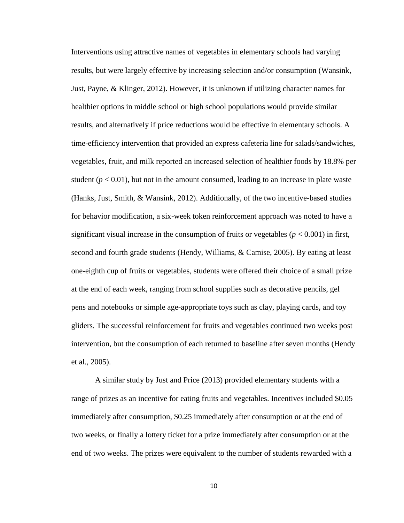Interventions using attractive names of vegetables in elementary schools had varying results, but were largely effective by increasing selection and/or consumption (Wansink, Just, Payne, & Klinger, 2012). However, it is unknown if utilizing character names for healthier options in middle school or high school populations would provide similar results, and alternatively if price reductions would be effective in elementary schools. A time-efficiency intervention that provided an express cafeteria line for salads/sandwiches, vegetables, fruit, and milk reported an increased selection of healthier foods by 18.8% per student  $(p < 0.01)$ , but not in the amount consumed, leading to an increase in plate waste (Hanks, Just, Smith, & Wansink, 2012). Additionally, of the two incentive-based studies for behavior modification, a six-week token reinforcement approach was noted to have a significant visual increase in the consumption of fruits or vegetables  $(p < 0.001)$  in first, second and fourth grade students (Hendy, Williams, & Camise, 2005). By eating at least one-eighth cup of fruits or vegetables, students were offered their choice of a small prize at the end of each week, ranging from school supplies such as decorative pencils, gel pens and notebooks or simple age-appropriate toys such as clay, playing cards, and toy gliders. The successful reinforcement for fruits and vegetables continued two weeks post intervention, but the consumption of each returned to baseline after seven months (Hendy et al., 2005).

A similar study by Just and Price (2013) provided elementary students with a range of prizes as an incentive for eating fruits and vegetables. Incentives included \$0.05 immediately after consumption, \$0.25 immediately after consumption or at the end of two weeks, or finally a lottery ticket for a prize immediately after consumption or at the end of two weeks. The prizes were equivalent to the number of students rewarded with a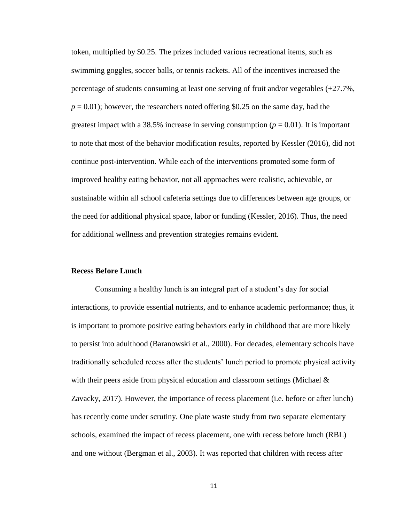token, multiplied by \$0.25. The prizes included various recreational items, such as swimming goggles, soccer balls, or tennis rackets. All of the incentives increased the percentage of students consuming at least one serving of fruit and/or vegetables (+27.7%,  $p = 0.01$ ; however, the researchers noted offering \$0.25 on the same day, had the greatest impact with a 38.5% increase in serving consumption ( $p = 0.01$ ). It is important to note that most of the behavior modification results, reported by Kessler (2016), did not continue post-intervention. While each of the interventions promoted some form of improved healthy eating behavior, not all approaches were realistic, achievable, or sustainable within all school cafeteria settings due to differences between age groups, or the need for additional physical space, labor or funding (Kessler, 2016). Thus, the need for additional wellness and prevention strategies remains evident.

# **Recess Before Lunch**

Consuming a healthy lunch is an integral part of a student's day for social interactions, to provide essential nutrients, and to enhance academic performance; thus, it is important to promote positive eating behaviors early in childhood that are more likely to persist into adulthood (Baranowski et al., 2000). For decades, elementary schools have traditionally scheduled recess after the students' lunch period to promote physical activity with their peers aside from physical education and classroom settings (Michael  $\&$ Zavacky, 2017). However, the importance of recess placement (i.e. before or after lunch) has recently come under scrutiny. One plate waste study from two separate elementary schools, examined the impact of recess placement, one with recess before lunch (RBL) and one without (Bergman et al., 2003). It was reported that children with recess after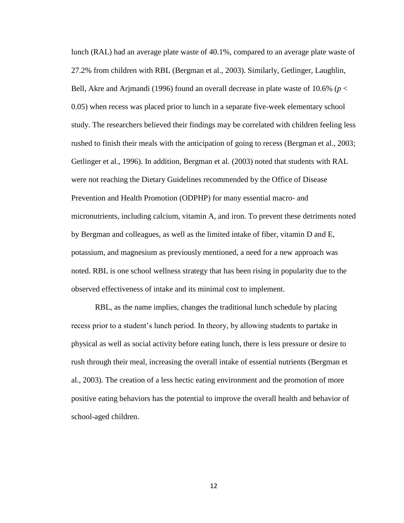lunch (RAL) had an average plate waste of 40.1%, compared to an average plate waste of 27.2% from children with RBL (Bergman et al., 2003). Similarly, Getlinger, Laughlin, Bell, Akre and Arjmandi (1996) found an overall decrease in plate waste of 10.6% (*p* < 0.05) when recess was placed prior to lunch in a separate five-week elementary school study. The researchers believed their findings may be correlated with children feeling less rushed to finish their meals with the anticipation of going to recess (Bergman et al., 2003; Getlinger et al., 1996). In addition, Bergman et al. (2003) noted that students with RAL were not reaching the Dietary Guidelines recommended by the Office of Disease Prevention and Health Promotion (ODPHP) for many essential macro- and micronutrients, including calcium, vitamin A, and iron. To prevent these detriments noted by Bergman and colleagues, as well as the limited intake of fiber, vitamin D and E, potassium, and magnesium as previously mentioned, a need for a new approach was noted. RBL is one school wellness strategy that has been rising in popularity due to the observed effectiveness of intake and its minimal cost to implement.

RBL, as the name implies, changes the traditional lunch schedule by placing recess prior to a student's lunch period. In theory, by allowing students to partake in physical as well as social activity before eating lunch, there is less pressure or desire to rush through their meal, increasing the overall intake of essential nutrients (Bergman et al., 2003). The creation of a less hectic eating environment and the promotion of more positive eating behaviors has the potential to improve the overall health and behavior of school-aged children.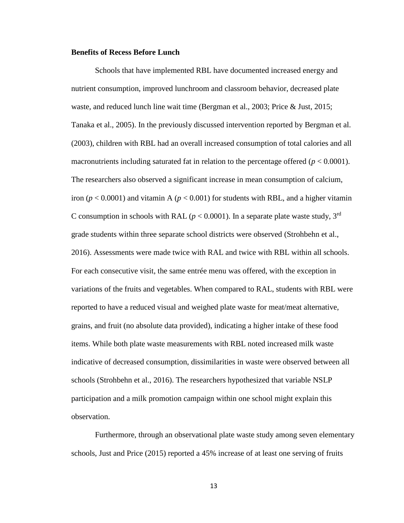# **Benefits of Recess Before Lunch**

Schools that have implemented RBL have documented increased energy and nutrient consumption, improved lunchroom and classroom behavior, decreased plate waste, and reduced lunch line wait time (Bergman et al., 2003; Price & Just, 2015; Tanaka et al., 2005). In the previously discussed intervention reported by Bergman et al. (2003), children with RBL had an overall increased consumption of total calories and all macronutrients including saturated fat in relation to the percentage offered (*p* < 0.0001). The researchers also observed a significant increase in mean consumption of calcium, iron ( $p < 0.0001$ ) and vitamin A ( $p < 0.001$ ) for students with RBL, and a higher vitamin C consumption in schools with RAL ( $p < 0.0001$ ). In a separate plate waste study, 3<sup>rd</sup> grade students within three separate school districts were observed (Strohbehn et al., 2016). Assessments were made twice with RAL and twice with RBL within all schools. For each consecutive visit, the same entrée menu was offered, with the exception in variations of the fruits and vegetables. When compared to RAL, students with RBL were reported to have a reduced visual and weighed plate waste for meat/meat alternative, grains, and fruit (no absolute data provided), indicating a higher intake of these food items. While both plate waste measurements with RBL noted increased milk waste indicative of decreased consumption, dissimilarities in waste were observed between all schools (Strohbehn et al., 2016). The researchers hypothesized that variable NSLP participation and a milk promotion campaign within one school might explain this observation.

Furthermore, through an observational plate waste study among seven elementary schools, Just and Price (2015) reported a 45% increase of at least one serving of fruits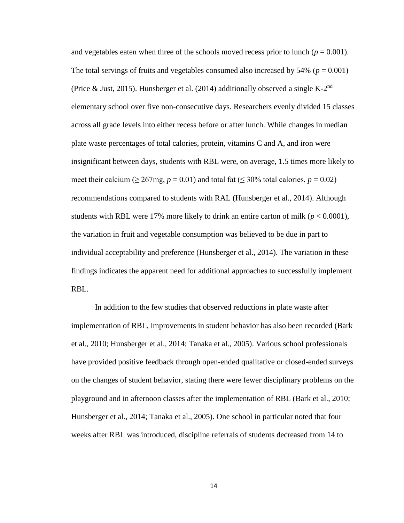and vegetables eaten when three of the schools moved recess prior to lunch  $(p = 0.001)$ . The total servings of fruits and vegetables consumed also increased by  $54\%$  ( $p = 0.001$ ) (Price & Just, 2015). Hunsberger et al. (2014) additionally observed a single K- $2<sup>nd</sup>$ elementary school over five non-consecutive days. Researchers evenly divided 15 classes across all grade levels into either recess before or after lunch. While changes in median plate waste percentages of total calories, protein, vitamins C and A, and iron were insignificant between days, students with RBL were, on average, 1.5 times more likely to meet their calcium ( $\geq 267$ mg,  $p = 0.01$ ) and total fat ( $\leq 30\%$  total calories,  $p = 0.02$ ) recommendations compared to students with RAL (Hunsberger et al., 2014). Although students with RBL were 17% more likely to drink an entire carton of milk  $(p < 0.0001)$ , the variation in fruit and vegetable consumption was believed to be due in part to individual acceptability and preference (Hunsberger et al., 2014). The variation in these findings indicates the apparent need for additional approaches to successfully implement RBL.

In addition to the few studies that observed reductions in plate waste after implementation of RBL, improvements in student behavior has also been recorded (Bark et al., 2010; Hunsberger et al., 2014; Tanaka et al., 2005). Various school professionals have provided positive feedback through open-ended qualitative or closed-ended surveys on the changes of student behavior, stating there were fewer disciplinary problems on the playground and in afternoon classes after the implementation of RBL (Bark et al., 2010; Hunsberger et al., 2014; Tanaka et al., 2005). One school in particular noted that four weeks after RBL was introduced, discipline referrals of students decreased from 14 to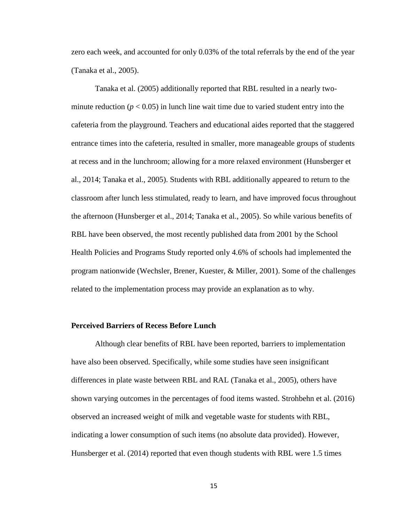zero each week, and accounted for only 0.03% of the total referrals by the end of the year (Tanaka et al., 2005).

Tanaka et al. (2005) additionally reported that RBL resulted in a nearly twominute reduction ( $p < 0.05$ ) in lunch line wait time due to varied student entry into the cafeteria from the playground. Teachers and educational aides reported that the staggered entrance times into the cafeteria, resulted in smaller, more manageable groups of students at recess and in the lunchroom; allowing for a more relaxed environment (Hunsberger et al., 2014; Tanaka et al., 2005). Students with RBL additionally appeared to return to the classroom after lunch less stimulated, ready to learn, and have improved focus throughout the afternoon (Hunsberger et al., 2014; Tanaka et al., 2005). So while various benefits of RBL have been observed, the most recently published data from 2001 by the School Health Policies and Programs Study reported only 4.6% of schools had implemented the program nationwide (Wechsler, Brener, Kuester, & Miller, 2001). Some of the challenges related to the implementation process may provide an explanation as to why.

# **Perceived Barriers of Recess Before Lunch**

Although clear benefits of RBL have been reported, barriers to implementation have also been observed. Specifically, while some studies have seen insignificant differences in plate waste between RBL and RAL (Tanaka et al., 2005), others have shown varying outcomes in the percentages of food items wasted. Strohbehn et al. (2016) observed an increased weight of milk and vegetable waste for students with RBL, indicating a lower consumption of such items (no absolute data provided). However, Hunsberger et al. (2014) reported that even though students with RBL were 1.5 times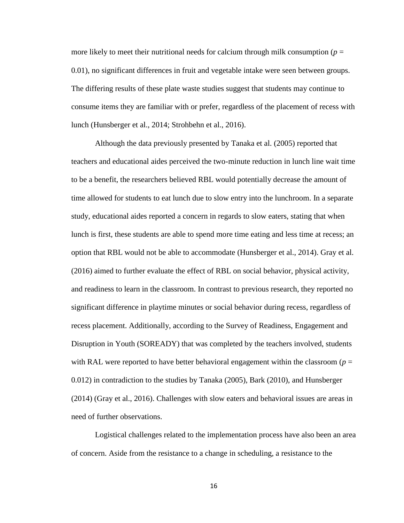more likely to meet their nutritional needs for calcium through milk consumption ( $p =$ 0.01), no significant differences in fruit and vegetable intake were seen between groups. The differing results of these plate waste studies suggest that students may continue to consume items they are familiar with or prefer, regardless of the placement of recess with lunch (Hunsberger et al., 2014; Strohbehn et al., 2016).

Although the data previously presented by Tanaka et al. (2005) reported that teachers and educational aides perceived the two-minute reduction in lunch line wait time to be a benefit, the researchers believed RBL would potentially decrease the amount of time allowed for students to eat lunch due to slow entry into the lunchroom. In a separate study, educational aides reported a concern in regards to slow eaters, stating that when lunch is first, these students are able to spend more time eating and less time at recess; an option that RBL would not be able to accommodate (Hunsberger et al., 2014). Gray et al. (2016) aimed to further evaluate the effect of RBL on social behavior, physical activity, and readiness to learn in the classroom. In contrast to previous research, they reported no significant difference in playtime minutes or social behavior during recess, regardless of recess placement. Additionally, according to the Survey of Readiness, Engagement and Disruption in Youth (SOREADY) that was completed by the teachers involved, students with RAL were reported to have better behavioral engagement within the classroom ( $p =$ 0.012) in contradiction to the studies by Tanaka (2005), Bark (2010), and Hunsberger (2014) (Gray et al., 2016). Challenges with slow eaters and behavioral issues are areas in need of further observations.

Logistical challenges related to the implementation process have also been an area of concern. Aside from the resistance to a change in scheduling, a resistance to the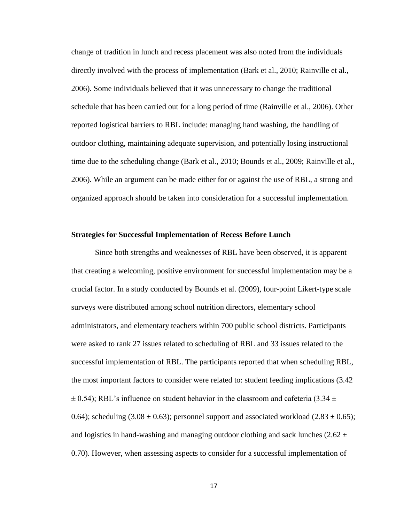change of tradition in lunch and recess placement was also noted from the individuals directly involved with the process of implementation (Bark et al., 2010; Rainville et al., 2006). Some individuals believed that it was unnecessary to change the traditional schedule that has been carried out for a long period of time (Rainville et al., 2006). Other reported logistical barriers to RBL include: managing hand washing, the handling of outdoor clothing, maintaining adequate supervision, and potentially losing instructional time due to the scheduling change (Bark et al., 2010; Bounds et al., 2009; Rainville et al., 2006). While an argument can be made either for or against the use of RBL, a strong and organized approach should be taken into consideration for a successful implementation.

#### **Strategies for Successful Implementation of Recess Before Lunch**

Since both strengths and weaknesses of RBL have been observed, it is apparent that creating a welcoming, positive environment for successful implementation may be a crucial factor. In a study conducted by Bounds et al. (2009), four-point Likert-type scale surveys were distributed among school nutrition directors, elementary school administrators, and elementary teachers within 700 public school districts. Participants were asked to rank 27 issues related to scheduling of RBL and 33 issues related to the successful implementation of RBL. The participants reported that when scheduling RBL, the most important factors to consider were related to: student feeding implications (3.42  $\pm$  0.54); RBL's influence on student behavior in the classroom and cafeteria (3.34  $\pm$ ) 0.64); scheduling  $(3.08 \pm 0.63)$ ; personnel support and associated workload  $(2.83 \pm 0.65)$ ; and logistics in hand-washing and managing outdoor clothing and sack lunches ( $2.62 \pm$ 0.70). However, when assessing aspects to consider for a successful implementation of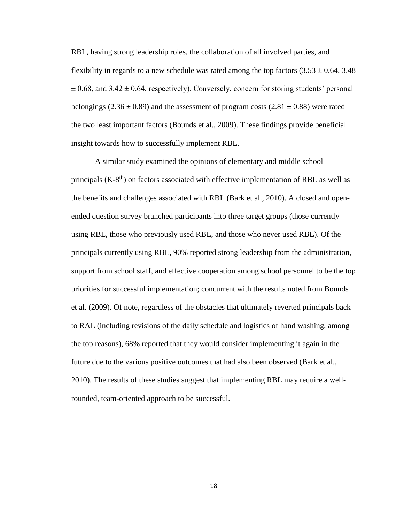RBL, having strong leadership roles, the collaboration of all involved parties, and flexibility in regards to a new schedule was rated among the top factors  $(3.53 \pm 0.64, 3.48)$  $\pm$  0.68, and 3.42  $\pm$  0.64, respectively). Conversely, concern for storing students' personal belongings (2.36  $\pm$  0.89) and the assessment of program costs (2.81  $\pm$  0.88) were rated the two least important factors (Bounds et al., 2009). These findings provide beneficial insight towards how to successfully implement RBL.

A similar study examined the opinions of elementary and middle school principals  $(K-8<sup>th</sup>)$  on factors associated with effective implementation of RBL as well as the benefits and challenges associated with RBL (Bark et al., 2010). A closed and openended question survey branched participants into three target groups (those currently using RBL, those who previously used RBL, and those who never used RBL). Of the principals currently using RBL, 90% reported strong leadership from the administration, support from school staff, and effective cooperation among school personnel to be the top priorities for successful implementation; concurrent with the results noted from Bounds et al. (2009). Of note, regardless of the obstacles that ultimately reverted principals back to RAL (including revisions of the daily schedule and logistics of hand washing, among the top reasons), 68% reported that they would consider implementing it again in the future due to the various positive outcomes that had also been observed (Bark et al., 2010). The results of these studies suggest that implementing RBL may require a wellrounded, team-oriented approach to be successful.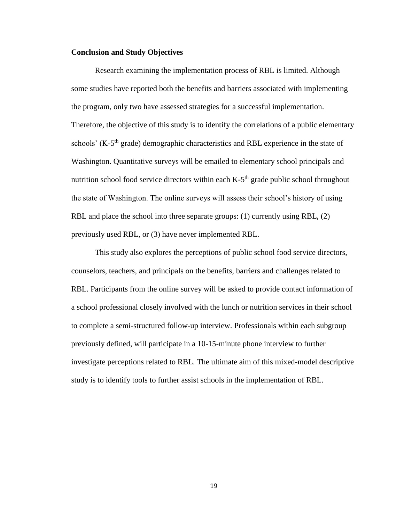# **Conclusion and Study Objectives**

Research examining the implementation process of RBL is limited. Although some studies have reported both the benefits and barriers associated with implementing the program, only two have assessed strategies for a successful implementation. Therefore, the objective of this study is to identify the correlations of a public elementary schools' (K-5<sup>th</sup> grade) demographic characteristics and RBL experience in the state of Washington. Quantitative surveys will be emailed to elementary school principals and nutrition school food service directors within each K-5<sup>th</sup> grade public school throughout the state of Washington. The online surveys will assess their school's history of using RBL and place the school into three separate groups: (1) currently using RBL, (2) previously used RBL, or (3) have never implemented RBL.

This study also explores the perceptions of public school food service directors, counselors, teachers, and principals on the benefits, barriers and challenges related to RBL. Participants from the online survey will be asked to provide contact information of a school professional closely involved with the lunch or nutrition services in their school to complete a semi-structured follow-up interview. Professionals within each subgroup previously defined, will participate in a 10-15-minute phone interview to further investigate perceptions related to RBL. The ultimate aim of this mixed-model descriptive study is to identify tools to further assist schools in the implementation of RBL.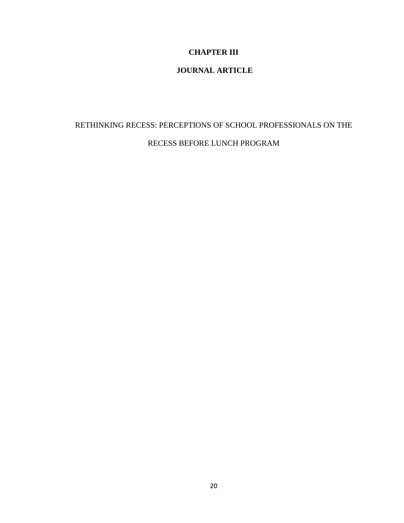# **CHAPTER III**

# **JOURNAL ARTICLE**

# RETHINKING RECESS: PERCEPTIONS OF SCHOOL PROFESSIONALS ON THE RECESS BEFORE LUNCH PROGRAM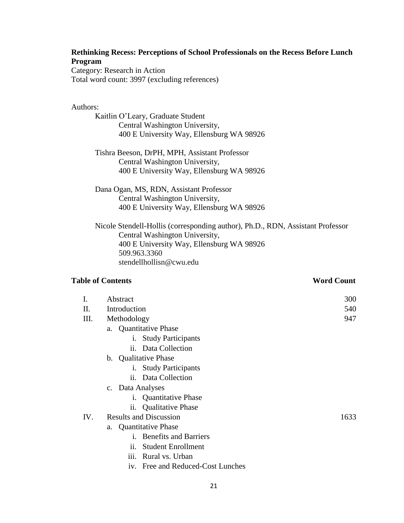# **Rethinking Recess: Perceptions of School Professionals on the Recess Before Lunch Program**

Category: Research in Action Total word count: 3997 (excluding references)

# Authors:

Kaitlin O'Leary, Graduate Student Central Washington University, 400 E University Way, Ellensburg WA 98926

Tishra Beeson, DrPH, MPH, Assistant Professor Central Washington University, 400 E University Way, Ellensburg WA 98926

Dana Ogan, MS, RDN, Assistant Professor Central Washington University, 400 E University Way, Ellensburg WA 98926

Nicole Stendell-Hollis (corresponding author), Ph.D., RDN, Assistant Professor Central Washington University, 400 E University Way, Ellensburg WA 98926 509.963.3360 stendellhollisn@cwu.edu

# **Table of Contents** Word Count

| L   | Abstract                                       | 300  |
|-----|------------------------------------------------|------|
| II. | Introduction                                   | 540  |
| Ш.  | Methodology                                    | 947  |
|     | a. Quantitative Phase                          |      |
|     | <b>Study Participants</b><br>1.                |      |
|     | ii. Data Collection                            |      |
|     | b. Qualitative Phase                           |      |
|     | i. Study Participants                          |      |
|     | ii. Data Collection                            |      |
|     | c. Data Analyses                               |      |
|     | i. Quantitative Phase                          |      |
|     | <b>Qualitative Phase</b><br>$\overline{11}$ .  |      |
| IV. | <b>Results and Discussion</b>                  | 1633 |
|     | a. Quantitative Phase                          |      |
|     | <b>Benefits and Barriers</b><br>1 <sup>1</sup> |      |
|     | <b>Student Enrollment</b><br>11.               |      |
|     | iii. Rural vs. Urban                           |      |

iv. Free and Reduced-Cost Lunches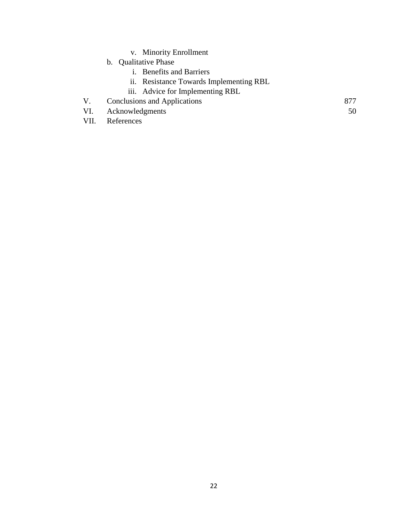- v. Minority Enrollment
- b. Qualitative Phase
	- i. Benefits and Barriers
	- ii. Resistance Towards Implementing RBL
	- iii. Advice for Implementing RBL
- V. Conclusions and Applications 877
- VI. Acknowledgments 50
- VII. References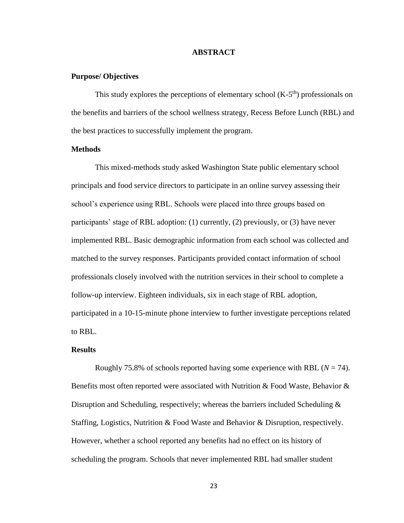# **ABSTRACT**

# **Purpose/ Objectives**

This study explores the perceptions of elementary school  $(K-5<sup>th</sup>)$  professionals on the benefits and barriers of the school wellness strategy, Recess Before Lunch (RBL) and the best practices to successfully implement the program.

# **Methods**

This mixed-methods study asked Washington State public elementary school principals and food service directors to participate in an online survey assessing their school's experience using RBL. Schools were placed into three groups based on participants' stage of RBL adoption: (1) currently, (2) previously, or (3) have never implemented RBL. Basic demographic information from each school was collected and matched to the survey responses. Participants provided contact information of school professionals closely involved with the nutrition services in their school to complete a follow-up interview. Eighteen individuals, six in each stage of RBL adoption, participated in a 10-15-minute phone interview to further investigate perceptions related to RBL.

# **Results**

Roughly 75.8% of schools reported having some experience with RBL  $(N = 74)$ . Benefits most often reported were associated with Nutrition & Food Waste, Behavior & Disruption and Scheduling, respectively; whereas the barriers included Scheduling & Staffing, Logistics, Nutrition & Food Waste and Behavior & Disruption, respectively. However, whether a school reported any benefits had no effect on its history of scheduling the program. Schools that never implemented RBL had smaller student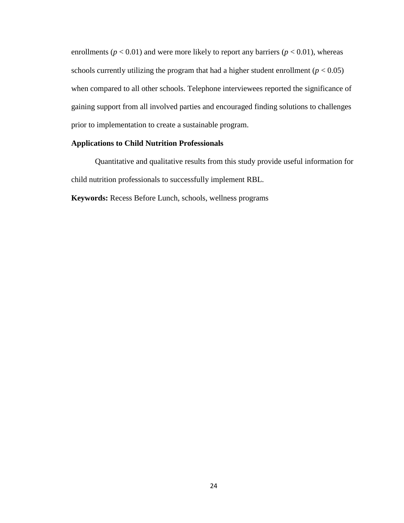enrollments ( $p < 0.01$ ) and were more likely to report any barriers ( $p < 0.01$ ), whereas schools currently utilizing the program that had a higher student enrollment ( $p < 0.05$ ) when compared to all other schools. Telephone interviewees reported the significance of gaining support from all involved parties and encouraged finding solutions to challenges prior to implementation to create a sustainable program.

# **Applications to Child Nutrition Professionals**

Quantitative and qualitative results from this study provide useful information for child nutrition professionals to successfully implement RBL.

**Keywords:** Recess Before Lunch, schools, wellness programs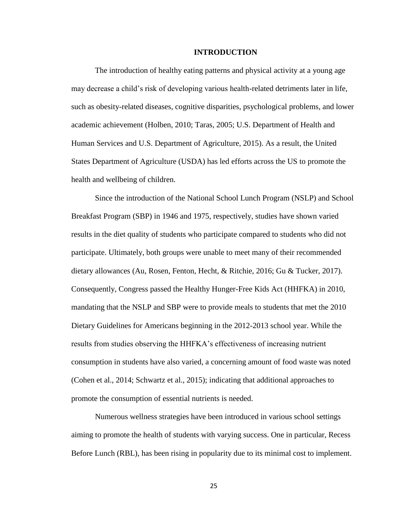#### **INTRODUCTION**

The introduction of healthy eating patterns and physical activity at a young age may decrease a child's risk of developing various health-related detriments later in life, such as obesity-related diseases, cognitive disparities, psychological problems, and lower academic achievement (Holben, 2010; Taras, 2005; U.S. Department of Health and Human Services and U.S. Department of Agriculture, 2015). As a result, the United States Department of Agriculture (USDA) has led efforts across the US to promote the health and wellbeing of children.

Since the introduction of the National School Lunch Program (NSLP) and School Breakfast Program (SBP) in 1946 and 1975, respectively, studies have shown varied results in the diet quality of students who participate compared to students who did not participate. Ultimately, both groups were unable to meet many of their recommended dietary allowances (Au, Rosen, Fenton, Hecht, & Ritchie, 2016; Gu & Tucker, 2017). Consequently, Congress passed the Healthy Hunger-Free Kids Act (HHFKA) in 2010, mandating that the NSLP and SBP were to provide meals to students that met the 2010 Dietary Guidelines for Americans beginning in the 2012-2013 school year. While the results from studies observing the HHFKA's effectiveness of increasing nutrient consumption in students have also varied, a concerning amount of food waste was noted (Cohen et al., 2014; Schwartz et al., 2015); indicating that additional approaches to promote the consumption of essential nutrients is needed.

Numerous wellness strategies have been introduced in various school settings aiming to promote the health of students with varying success. One in particular, Recess Before Lunch (RBL), has been rising in popularity due to its minimal cost to implement.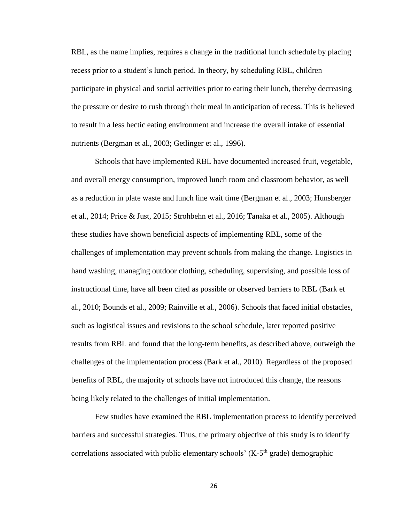RBL, as the name implies, requires a change in the traditional lunch schedule by placing recess prior to a student's lunch period. In theory, by scheduling RBL, children participate in physical and social activities prior to eating their lunch, thereby decreasing the pressure or desire to rush through their meal in anticipation of recess. This is believed to result in a less hectic eating environment and increase the overall intake of essential nutrients (Bergman et al., 2003; Getlinger et al., 1996).

Schools that have implemented RBL have documented increased fruit, vegetable, and overall energy consumption, improved lunch room and classroom behavior, as well as a reduction in plate waste and lunch line wait time (Bergman et al., 2003; Hunsberger et al., 2014; Price & Just, 2015; Strohbehn et al., 2016; Tanaka et al., 2005). Although these studies have shown beneficial aspects of implementing RBL, some of the challenges of implementation may prevent schools from making the change. Logistics in hand washing, managing outdoor clothing, scheduling, supervising, and possible loss of instructional time, have all been cited as possible or observed barriers to RBL (Bark et al., 2010; Bounds et al., 2009; Rainville et al., 2006). Schools that faced initial obstacles, such as logistical issues and revisions to the school schedule, later reported positive results from RBL and found that the long-term benefits, as described above, outweigh the challenges of the implementation process (Bark et al., 2010). Regardless of the proposed benefits of RBL, the majority of schools have not introduced this change, the reasons being likely related to the challenges of initial implementation.

Few studies have examined the RBL implementation process to identify perceived barriers and successful strategies. Thus, the primary objective of this study is to identify correlations associated with public elementary schools' ( $K-5<sup>th</sup>$  grade) demographic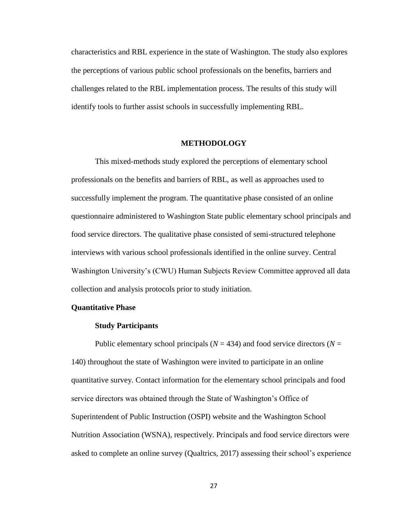characteristics and RBL experience in the state of Washington. The study also explores the perceptions of various public school professionals on the benefits, barriers and challenges related to the RBL implementation process. The results of this study will identify tools to further assist schools in successfully implementing RBL.

# **METHODOLOGY**

This mixed-methods study explored the perceptions of elementary school professionals on the benefits and barriers of RBL, as well as approaches used to successfully implement the program. The quantitative phase consisted of an online questionnaire administered to Washington State public elementary school principals and food service directors. The qualitative phase consisted of semi-structured telephone interviews with various school professionals identified in the online survey. Central Washington University's (CWU) Human Subjects Review Committee approved all data collection and analysis protocols prior to study initiation.

# **Quantitative Phase**

#### **Study Participants**

Public elementary school principals ( $N = 434$ ) and food service directors ( $N =$ 140) throughout the state of Washington were invited to participate in an online quantitative survey. Contact information for the elementary school principals and food service directors was obtained through the State of Washington's Office of Superintendent of Public Instruction (OSPI) website and the Washington School Nutrition Association (WSNA), respectively. Principals and food service directors were asked to complete an online survey (Qualtrics, 2017) assessing their school's experience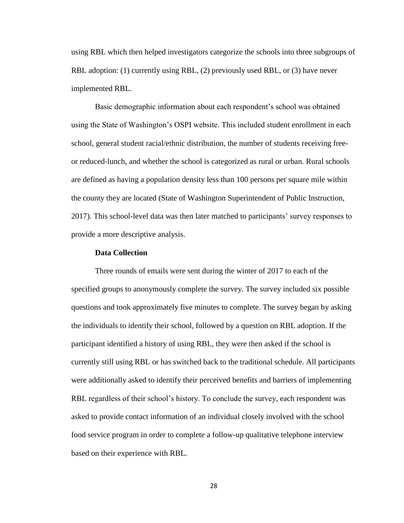using RBL which then helped investigators categorize the schools into three subgroups of RBL adoption: (1) currently using RBL, (2) previously used RBL, or (3) have never implemented RBL.

Basic demographic information about each respondent's school was obtained using the State of Washington's OSPI website. This included student enrollment in each school, general student racial/ethnic distribution, the number of students receiving freeor reduced-lunch, and whether the school is categorized as rural or urban. Rural schools are defined as having a population density less than 100 persons per square mile within the county they are located (State of Washington Superintendent of Public Instruction, 2017). This school-level data was then later matched to participants' survey responses to provide a more descriptive analysis.

#### **Data Collection**

Three rounds of emails were sent during the winter of 2017 to each of the specified groups to anonymously complete the survey. The survey included six possible questions and took approximately five minutes to complete. The survey began by asking the individuals to identify their school, followed by a question on RBL adoption. If the participant identified a history of using RBL, they were then asked if the school is currently still using RBL or has switched back to the traditional schedule. All participants were additionally asked to identify their perceived benefits and barriers of implementing RBL regardless of their school's history. To conclude the survey, each respondent was asked to provide contact information of an individual closely involved with the school food service program in order to complete a follow-up qualitative telephone interview based on their experience with RBL.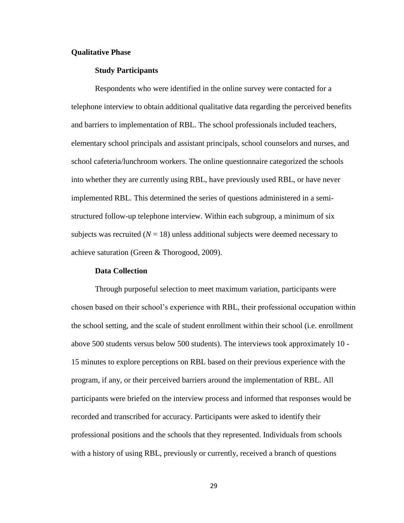# **Qualitative Phase**

# **Study Participants**

Respondents who were identified in the online survey were contacted for a telephone interview to obtain additional qualitative data regarding the perceived benefits and barriers to implementation of RBL. The school professionals included teachers, elementary school principals and assistant principals, school counselors and nurses, and school cafeteria/lunchroom workers. The online questionnaire categorized the schools into whether they are currently using RBL, have previously used RBL, or have never implemented RBL. This determined the series of questions administered in a semistructured follow-up telephone interview. Within each subgroup, a minimum of six subjects was recruited  $(N = 18)$  unless additional subjects were deemed necessary to achieve saturation (Green & Thorogood, 2009).

### **Data Collection**

Through purposeful selection to meet maximum variation, participants were chosen based on their school's experience with RBL, their professional occupation within the school setting, and the scale of student enrollment within their school (i.e. enrollment above 500 students versus below 500 students). The interviews took approximately 10 - 15 minutes to explore perceptions on RBL based on their previous experience with the program, if any, or their perceived barriers around the implementation of RBL. All participants were briefed on the interview process and informed that responses would be recorded and transcribed for accuracy. Participants were asked to identify their professional positions and the schools that they represented. Individuals from schools with a history of using RBL, previously or currently, received a branch of questions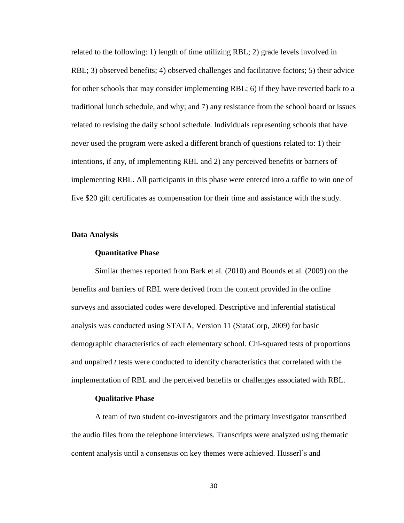related to the following: 1) length of time utilizing RBL; 2) grade levels involved in RBL; 3) observed benefits; 4) observed challenges and facilitative factors; 5) their advice for other schools that may consider implementing RBL; 6) if they have reverted back to a traditional lunch schedule, and why; and 7) any resistance from the school board or issues related to revising the daily school schedule. Individuals representing schools that have never used the program were asked a different branch of questions related to: 1) their intentions, if any, of implementing RBL and 2) any perceived benefits or barriers of implementing RBL. All participants in this phase were entered into a raffle to win one of five \$20 gift certificates as compensation for their time and assistance with the study.

#### **Data Analysis**

#### **Quantitative Phase**

Similar themes reported from Bark et al. (2010) and Bounds et al. (2009) on the benefits and barriers of RBL were derived from the content provided in the online surveys and associated codes were developed. Descriptive and inferential statistical analysis was conducted using STATA, Version 11 (StataCorp, 2009) for basic demographic characteristics of each elementary school. Chi-squared tests of proportions and unpaired *t* tests were conducted to identify characteristics that correlated with the implementation of RBL and the perceived benefits or challenges associated with RBL.

#### **Qualitative Phase**

A team of two student co-investigators and the primary investigator transcribed the audio files from the telephone interviews. Transcripts were analyzed using thematic content analysis until a consensus on key themes were achieved. Husserl's and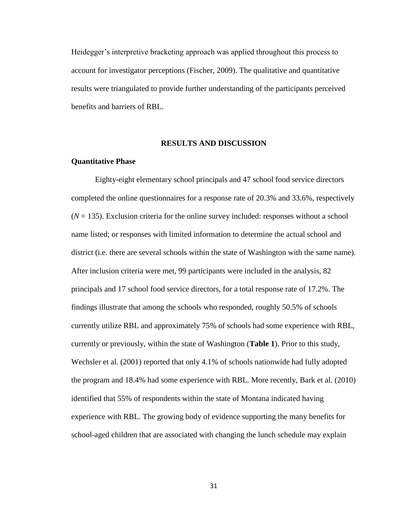Heidegger's interpretive bracketing approach was applied throughout this process to account for investigator perceptions (Fischer, 2009). The qualitative and quantitative results were triangulated to provide further understanding of the participants perceived benefits and barriers of RBL.

# **RESULTS AND DISCUSSION**

# **Quantitative Phase**

Eighty-eight elementary school principals and 47 school food service directors completed the online questionnaires for a response rate of 20.3% and 33.6%, respectively  $(N = 135)$ . Exclusion criteria for the online survey included: responses without a school name listed; or responses with limited information to determine the actual school and district (i.e. there are several schools within the state of Washington with the same name). After inclusion criteria were met, 99 participants were included in the analysis, 82 principals and 17 school food service directors, for a total response rate of 17.2%. The findings illustrate that among the schools who responded, roughly 50.5% of schools currently utilize RBL and approximately 75% of schools had some experience with RBL, currently or previously, within the state of Washington (**Table 1**). Prior to this study, Wechsler et al. (2001) reported that only 4.1% of schools nationwide had fully adopted the program and 18.4% had some experience with RBL. More recently, Bark et al. (2010) identified that 55% of respondents within the state of Montana indicated having experience with RBL. The growing body of evidence supporting the many benefits for school-aged children that are associated with changing the lunch schedule may explain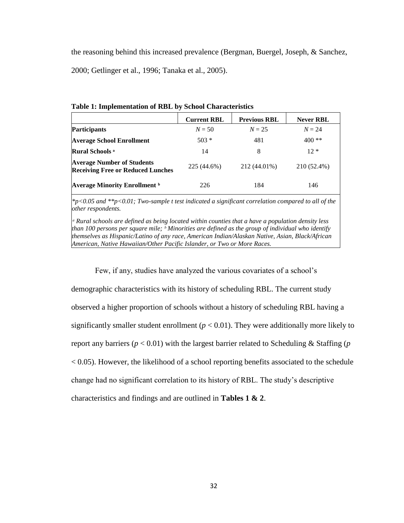the reasoning behind this increased prevalence (Bergman, Buergel, Joseph, & Sanchez, 2000; Getlinger et al., 1996; Tanaka et al., 2005).

|                                                                               | <b>Current RBL</b> | <b>Previous RBL</b> | <b>Never RBL</b> |
|-------------------------------------------------------------------------------|--------------------|---------------------|------------------|
| Participants                                                                  | $N = 50$           | $N = 25$            | $N = 24$         |
| <b>Average School Enrollment</b>                                              | $503*$             | 481                 | $400**$          |
| <b>Rural Schools</b> a                                                        | 14                 | 8                   | $12*$            |
| <b>Average Number of Students</b><br><b>Receiving Free or Reduced Lunches</b> | 225 (44.6%)        | 212 (44.01%)        | 210 (52.4%)      |
| <b>Average Minority Enrollment</b> b                                          | 226                | 184                 | 146              |

**Table 1: Implementation of RBL by School Characteristics**

*\*p<0.05 and \*\*p<0.01; Two-sample t test indicated a significant correlation compared to all of the other respondents.* 

*ᵃ Rural schools are defined as being located within counties that a have a population density less than 100 persons per square mile; ᵇ Minorities are defined as the group of individual who identify themselves as Hispanic/Latino of any race, American Indian/Alaskan Native, Asian, Black/African American, Native Hawaiian/Other Pacific Islander, or Two or More Races.*

Few, if any, studies have analyzed the various covariates of a school's

demographic characteristics with its history of scheduling RBL. The current study observed a higher proportion of schools without a history of scheduling RBL having a significantly smaller student enrollment ( $p < 0.01$ ). They were additionally more likely to report any barriers ( $p < 0.01$ ) with the largest barrier related to Scheduling & Staffing ( $p$ ) < 0.05). However, the likelihood of a school reporting benefits associated to the schedule change had no significant correlation to its history of RBL. The study's descriptive characteristics and findings and are outlined in **Tables 1 & 2**.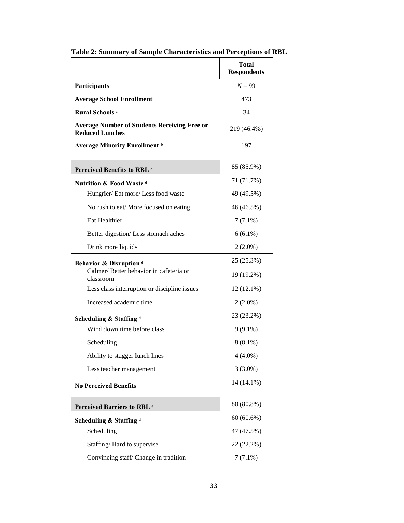|                                                                               | <b>Total</b><br><b>Respondents</b> |
|-------------------------------------------------------------------------------|------------------------------------|
| <b>Participants</b>                                                           | $N = 99$                           |
| <b>Average School Enrollment</b>                                              | 473                                |
| <b>Rural Schools</b> <sup>a</sup>                                             | 34                                 |
| <b>Average Number of Students Receiving Free or</b><br><b>Reduced Lunches</b> | 219 (46.4%)                        |
| <b>Average Minority Enrollment</b> b                                          | 197                                |
| Perceived Benefits to RBL c                                                   | 85 (85.9%)                         |
| <b>Nutrition &amp; Food Wasted</b>                                            | 71 (71.7%)                         |
| Hungrier/ Eat more/ Less food waste                                           | 49 (49.5%)                         |
| No rush to eat/ More focused on eating                                        | 46 (46.5%)                         |
| Eat Healthier                                                                 | $7(7.1\%)$                         |
| Better digestion/Less stomach aches                                           | $6(6.1\%)$                         |
| Drink more liquids                                                            | $2(2.0\%)$                         |
| Behavior & Disruption <sup>d</sup><br>Calmer/Better behavior in cafeteria or  | 25 (25.3%)<br>19 (19.2%)           |
| classroom                                                                     |                                    |
| Less class interruption or discipline issues                                  | $12(12.1\%)$                       |
| Increased academic time                                                       | $2(2.0\%)$                         |
| Scheduling & Staffing <sup>d</sup>                                            | 23 (23.2%)                         |
| Wind down time before class                                                   | $9(9.1\%)$                         |
| Scheduling                                                                    | $8(8.1\%)$                         |
| Ability to stagger lunch lines                                                | $4(4.0\%)$                         |
| Less teacher management                                                       | $3(3.0\%)$                         |
| <b>No Perceived Benefits</b>                                                  | 14 (14.1%)                         |
| Perceived Barriers to RBL c                                                   | 80 (80.8%)                         |
| Scheduling & Staffing <sup>d</sup>                                            | 60(60.6%)                          |
| Scheduling                                                                    | 47 (47.5%)                         |
| Staffing/Hard to supervise                                                    | 22 (22.2%)                         |
| Convincing staff/Change in tradition                                          | $7(7.1\%)$                         |

**Table 2: Summary of Sample Characteristics and Perceptions of RBL**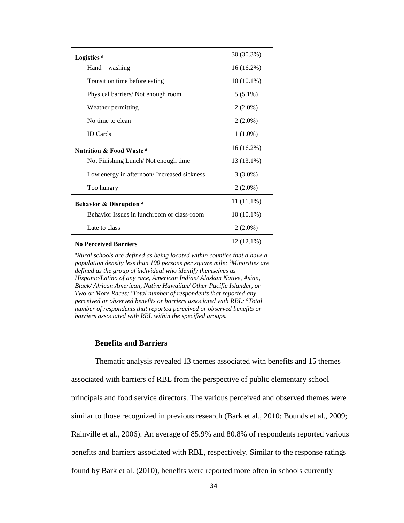| Logistics <sup>d</sup>                                                                                                                                                                                                                                                                                                                                                                                                                                                                                                                                                                                                | 30 (30.3%)   |  |  |
|-----------------------------------------------------------------------------------------------------------------------------------------------------------------------------------------------------------------------------------------------------------------------------------------------------------------------------------------------------------------------------------------------------------------------------------------------------------------------------------------------------------------------------------------------------------------------------------------------------------------------|--------------|--|--|
| $Hand - washing$                                                                                                                                                                                                                                                                                                                                                                                                                                                                                                                                                                                                      | 16 (16.2%)   |  |  |
| Transition time before eating                                                                                                                                                                                                                                                                                                                                                                                                                                                                                                                                                                                         | $10(10.1\%)$ |  |  |
| Physical barriers/Not enough room                                                                                                                                                                                                                                                                                                                                                                                                                                                                                                                                                                                     | $5(5.1\%)$   |  |  |
| Weather permitting                                                                                                                                                                                                                                                                                                                                                                                                                                                                                                                                                                                                    | $2(2.0\%)$   |  |  |
| No time to clean                                                                                                                                                                                                                                                                                                                                                                                                                                                                                                                                                                                                      | $2(2.0\%)$   |  |  |
| <b>ID</b> Cards                                                                                                                                                                                                                                                                                                                                                                                                                                                                                                                                                                                                       | $1(1.0\%)$   |  |  |
| <b>Nutrition &amp; Food Wasted</b>                                                                                                                                                                                                                                                                                                                                                                                                                                                                                                                                                                                    | $16(16.2\%)$ |  |  |
| Not Finishing Lunch/Not enough time                                                                                                                                                                                                                                                                                                                                                                                                                                                                                                                                                                                   | 13 (13.1%)   |  |  |
| Low energy in afternoon/Increased sickness                                                                                                                                                                                                                                                                                                                                                                                                                                                                                                                                                                            | $3(3.0\%)$   |  |  |
| Too hungry                                                                                                                                                                                                                                                                                                                                                                                                                                                                                                                                                                                                            | $2(2.0\%)$   |  |  |
| Behavior & Disruption <sup>d</sup>                                                                                                                                                                                                                                                                                                                                                                                                                                                                                                                                                                                    | $11(11.1\%)$ |  |  |
| Behavior Issues in lunchroom or class-room                                                                                                                                                                                                                                                                                                                                                                                                                                                                                                                                                                            | $10(10.1\%)$ |  |  |
| Late to class                                                                                                                                                                                                                                                                                                                                                                                                                                                                                                                                                                                                         | $2(2.0\%)$   |  |  |
| $12(12.1\%)$<br><b>No Perceived Barriers</b>                                                                                                                                                                                                                                                                                                                                                                                                                                                                                                                                                                          |              |  |  |
| <sup>a</sup> Rural schools are defined as being located within counties that a have a<br>population density less than 100 persons per square mile; <sup>b</sup> Minorities are<br>defined as the group of individual who identify themselves as<br>Hispanic/Latino of any race, American Indian/ Alaskan Native, Asian,<br>Black/African American, Native Hawaiian/Other Pacific Islander, or<br>Two or More Races; 'Total number of respondents that reported any<br>perceived or observed benefits or barriers associated with RBL; dTotal<br>number of respondents that reported perceived or observed benefits or |              |  |  |

# **Benefits and Barriers**

*barriers associated with RBL within the specified groups.*

Thematic analysis revealed 13 themes associated with benefits and 15 themes associated with barriers of RBL from the perspective of public elementary school principals and food service directors. The various perceived and observed themes were similar to those recognized in previous research (Bark et al., 2010; Bounds et al., 2009; Rainville et al., 2006). An average of 85.9% and 80.8% of respondents reported various benefits and barriers associated with RBL, respectively. Similar to the response ratings found by Bark et al. (2010), benefits were reported more often in schools currently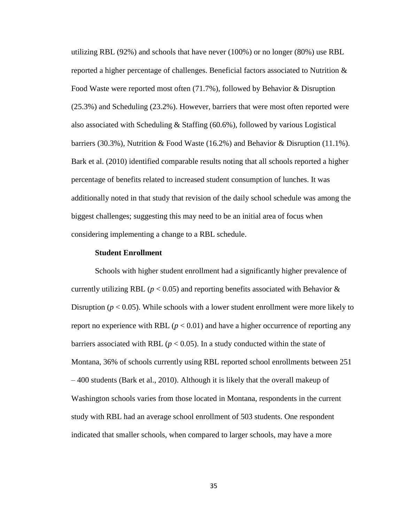utilizing RBL (92%) and schools that have never (100%) or no longer (80%) use RBL reported a higher percentage of challenges. Beneficial factors associated to Nutrition & Food Waste were reported most often (71.7%), followed by Behavior & Disruption (25.3%) and Scheduling (23.2%). However, barriers that were most often reported were also associated with Scheduling & Staffing  $(60.6\%)$ , followed by various Logistical barriers (30.3%), Nutrition & Food Waste (16.2%) and Behavior & Disruption (11.1%). Bark et al. (2010) identified comparable results noting that all schools reported a higher percentage of benefits related to increased student consumption of lunches. It was additionally noted in that study that revision of the daily school schedule was among the biggest challenges; suggesting this may need to be an initial area of focus when considering implementing a change to a RBL schedule.

#### **Student Enrollment**

Schools with higher student enrollment had a significantly higher prevalence of currently utilizing RBL ( $p < 0.05$ ) and reporting benefits associated with Behavior & Disruption ( $p < 0.05$ ). While schools with a lower student enrollment were more likely to report no experience with RBL  $(p < 0.01)$  and have a higher occurrence of reporting any barriers associated with RBL ( $p < 0.05$ ). In a study conducted within the state of Montana, 36% of schools currently using RBL reported school enrollments between 251 – 400 students (Bark et al., 2010). Although it is likely that the overall makeup of Washington schools varies from those located in Montana, respondents in the current study with RBL had an average school enrollment of 503 students. One respondent indicated that smaller schools, when compared to larger schools, may have a more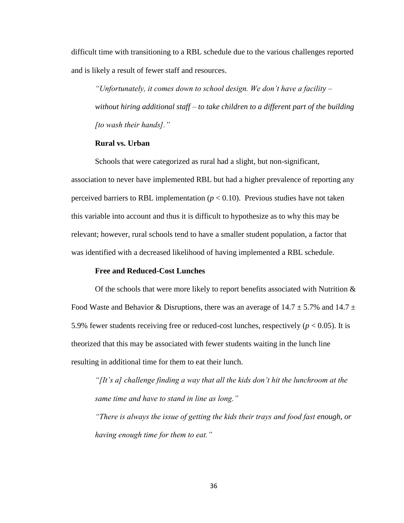difficult time with transitioning to a RBL schedule due to the various challenges reported and is likely a result of fewer staff and resources.

*"Unfortunately, it comes down to school design. We don't have a facility – without hiring additional staff – to take children to a different part of the building [to wash their hands]."*

# **Rural vs. Urban**

Schools that were categorized as rural had a slight, but non-significant, association to never have implemented RBL but had a higher prevalence of reporting any perceived barriers to RBL implementation  $(p < 0.10)$ . Previous studies have not taken this variable into account and thus it is difficult to hypothesize as to why this may be relevant; however, rural schools tend to have a smaller student population, a factor that was identified with a decreased likelihood of having implemented a RBL schedule.

### **Free and Reduced-Cost Lunches**

Of the schools that were more likely to report benefits associated with Nutrition  $\&$ Food Waste and Behavior & Disruptions, there was an average of  $14.7 \pm 5.7\%$  and  $14.7 \pm 1.7\%$ 5.9% fewer students receiving free or reduced-cost lunches, respectively ( $p < 0.05$ ). It is theorized that this may be associated with fewer students waiting in the lunch line resulting in additional time for them to eat their lunch.

*"[It's a] challenge finding a way that all the kids don't hit the lunchroom at the same time and have to stand in line as long."*

*"There is always the issue of getting the kids their trays and food fast enough, or having enough time for them to eat."*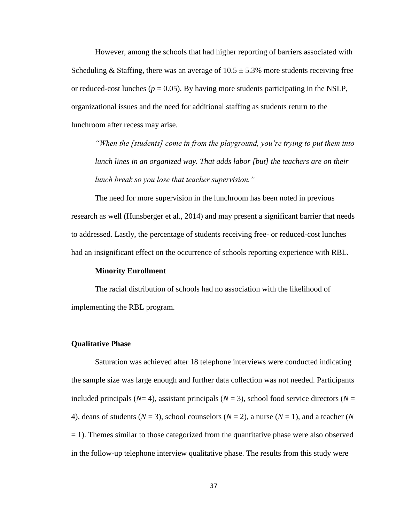However, among the schools that had higher reporting of barriers associated with Scheduling & Staffing, there was an average of  $10.5 \pm 5.3\%$  more students receiving free or reduced-cost lunches ( $p = 0.05$ ). By having more students participating in the NSLP, organizational issues and the need for additional staffing as students return to the lunchroom after recess may arise.

*"When the [students] come in from the playground, you're trying to put them into lunch lines in an organized way. That adds labor [but] the teachers are on their lunch break so you lose that teacher supervision."*

The need for more supervision in the lunchroom has been noted in previous research as well (Hunsberger et al., 2014) and may present a significant barrier that needs to addressed. Lastly, the percentage of students receiving free- or reduced-cost lunches had an insignificant effect on the occurrence of schools reporting experience with RBL.

# **Minority Enrollment**

The racial distribution of schools had no association with the likelihood of implementing the RBL program.

### **Qualitative Phase**

Saturation was achieved after 18 telephone interviews were conducted indicating the sample size was large enough and further data collection was not needed. Participants included principals ( $N=4$ ), assistant principals ( $N=3$ ), school food service directors ( $N=$ 4), deans of students  $(N = 3)$ , school counselors  $(N = 2)$ , a nurse  $(N = 1)$ , and a teacher  $(N$ = 1). Themes similar to those categorized from the quantitative phase were also observed in the follow-up telephone interview qualitative phase. The results from this study were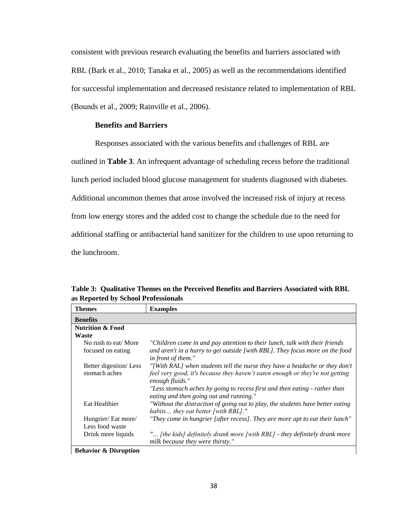consistent with previous research evaluating the benefits and barriers associated with RBL (Bark et al., 2010; Tanaka et al., 2005) as well as the recommendations identified for successful implementation and decreased resistance related to implementation of RBL (Bounds et al., 2009; Rainville et al., 2006).

# **Benefits and Barriers**

Responses associated with the various benefits and challenges of RBL are

outlined in **Table 3**. An infrequent advantage of scheduling recess before the traditional

lunch period included blood glucose management for students diagnosed with diabetes.

Additional uncommon themes that arose involved the increased risk of injury at recess

from low energy stores and the added cost to change the schedule due to the need for

additional staffing or antibacterial hand sanitizer for the children to use upon returning to

the lunchroom.

| <b>Themes</b>               | <b>Examples</b>                                                                                                       |
|-----------------------------|-----------------------------------------------------------------------------------------------------------------------|
| <b>Benefits</b>             |                                                                                                                       |
| <b>Nutrition &amp; Food</b> |                                                                                                                       |
| Waste                       |                                                                                                                       |
| No rush to eat/ More        | "Children come in and pay attention to their lunch, talk with their friends                                           |
| focused on eating           | and aren't in a hurry to get outside [with RBL]. They focus more on the food<br>in front of them."                    |
| Better digestion/Less       | "[With RAL] when students tell the nurse they have a headache or they don't                                           |
| stomach aches               | feel very good, it's because they haven't eaten enough or they're not getting<br>enough fluids."                      |
|                             | "Less stomach aches by going to recess first and then eating - rather than<br>eating and then going out and running." |
| Eat Healthier               | "Without the distraction of going out to play, the students have better eating<br>habits they eat better [with RBL]." |
| Hungrier/ Eat more/         | "They come in hungrier [after recess]. They are more apt to eat their lunch"                                          |
| Less food waste             |                                                                                                                       |
| Drink more liquids          | " [the kids] definitely drank more [with RBL] - they definitely drank more<br>milk because they were thirsty."        |

**Table 3: Qualitative Themes on the Perceived Benefits and Barriers Associated with RBL as Reported by School Professionals**

**Behavior & Disruption**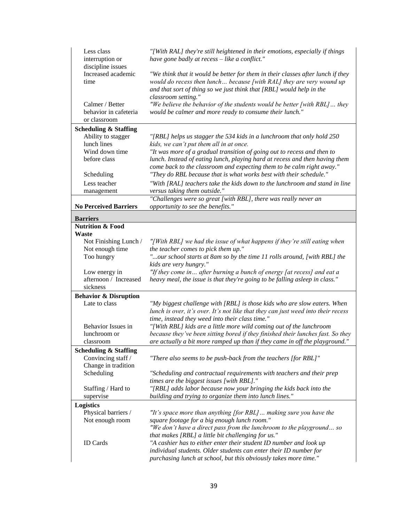| Less class<br>interruption or<br>discipline issues       | "[With RAL] they're still heightened in their emotions, especially if things<br>have gone badly at recess - like a conflict."                                                                                                                          |
|----------------------------------------------------------|--------------------------------------------------------------------------------------------------------------------------------------------------------------------------------------------------------------------------------------------------------|
| Increased academic<br>time                               | "We think that it would be better for them in their classes after lunch if they<br>would do recess then lunch because [with RAL] they are very wound up<br>and that sort of thing so we just think that [RBL] would help in the<br>classroom setting." |
| Calmer / Better<br>behavior in cafeteria<br>or classroom | "We believe the behavior of the students would be better [with RBL] they<br>would be calmer and more ready to consume their lunch."                                                                                                                    |
| <b>Scheduling &amp; Staffing</b>                         |                                                                                                                                                                                                                                                        |
| Ability to stagger                                       | "[RBL] helps us stagger the 534 kids in a lunchroom that only hold 250                                                                                                                                                                                 |
| lunch lines                                              | kids, we can't put them all in at once.                                                                                                                                                                                                                |
| Wind down time                                           | "It was more of a gradual transition of going out to recess and then to                                                                                                                                                                                |
| before class                                             | lunch. Instead of eating lunch, playing hard at recess and then having them<br>come back to the classroom and expecting them to be calm right away."                                                                                                   |
| Scheduling                                               | "They do RBL because that is what works best with their schedule."                                                                                                                                                                                     |
| Less teacher                                             | "With [RAL] teachers take the kids down to the lunchroom and stand in line                                                                                                                                                                             |
| management                                               | versus taking them outside."                                                                                                                                                                                                                           |
| <b>No Perceived Barriers</b>                             | "Challenges were so great [with RBL], there was really never an<br>opportunity to see the benefits."                                                                                                                                                   |
| <b>Barriers</b>                                          |                                                                                                                                                                                                                                                        |
| <b>Nutrition &amp; Food</b>                              |                                                                                                                                                                                                                                                        |
| <b>Waste</b>                                             |                                                                                                                                                                                                                                                        |
| Not Finishing Lunch /                                    | "[With RBL] we had the issue of what happens if they're still eating when                                                                                                                                                                              |
| Not enough time                                          | the teacher comes to pick them up."                                                                                                                                                                                                                    |
| Too hungry                                               | "our school starts at 8am so by the time 11 rolls around, [with RBL] the                                                                                                                                                                               |
|                                                          | kids are very hungry."                                                                                                                                                                                                                                 |
| Low energy in                                            | "If they come in after burning a bunch of energy [at recess] and eat a                                                                                                                                                                                 |
| afternoon / Increased                                    | heavy meal, the issue is that they're going to be falling asleep in class."                                                                                                                                                                            |
| sickness                                                 |                                                                                                                                                                                                                                                        |
| <b>Behavior &amp; Disruption</b>                         |                                                                                                                                                                                                                                                        |
| Late to class                                            | "My biggest challenge with [RBL] is those kids who are slow eaters. When<br>lunch is over, it's over. It's not like that they can just weed into their recess<br>time, instead they weed into their class time."                                       |
| <b>Behavior Issues in</b>                                | "[With RBL] kids are a little more wild coming out of the lunchroom                                                                                                                                                                                    |
| lunchroom or                                             | because they've been sitting bored if they finished their lunches fast. So they                                                                                                                                                                        |
| classroom                                                | are actually a bit more ramped up than if they came in off the playground."                                                                                                                                                                            |
| <b>Scheduling &amp; Staffing</b>                         |                                                                                                                                                                                                                                                        |
| Convincing staff /<br>Change in tradition                | "There also seems to be push-back from the teachers [for RBL]"                                                                                                                                                                                         |
| Scheduling                                               | "Scheduling and contractual requirements with teachers and their prep                                                                                                                                                                                  |
|                                                          | times are the biggest issues [with RBL]."                                                                                                                                                                                                              |
| Staffing / Hard to                                       | "[RBL] adds labor because now your bringing the kids back into the                                                                                                                                                                                     |
| supervise                                                | building and trying to organize them into lunch lines."                                                                                                                                                                                                |
| <b>Logistics</b>                                         |                                                                                                                                                                                                                                                        |
| Physical barriers /                                      | "It's space more than anything [for RBL]  making sure you have the                                                                                                                                                                                     |
| Not enough room                                          | square footage for a big enough lunch room."                                                                                                                                                                                                           |
|                                                          | "We don't have a direct pass from the lunchroom to the playground so                                                                                                                                                                                   |
| <b>ID</b> Cards                                          | that makes [RBL] a little bit challenging for us."<br>"A cashier has to either enter their student ID number and look up                                                                                                                               |
|                                                          | individual students. Older students can enter their ID number for                                                                                                                                                                                      |
|                                                          | purchasing lunch at school, but this obviously takes more time."                                                                                                                                                                                       |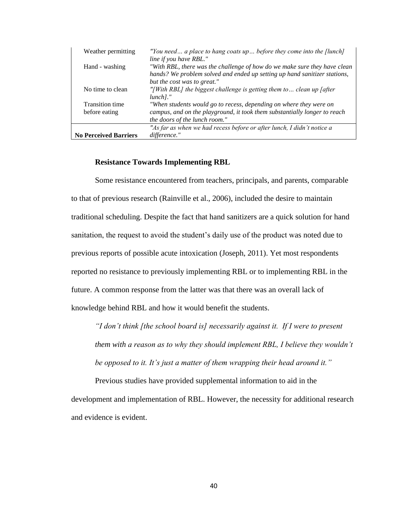| Weather permitting           | "You need a place to hang coats up before they come into the [lunch]                                                                                                             |
|------------------------------|----------------------------------------------------------------------------------------------------------------------------------------------------------------------------------|
| Hand - washing               | line if you have RBL."<br>"With RBL, there was the challenge of how do we make sure they have clean<br>hands? We problem solved and ended up setting up hand sanitizer stations, |
| No time to clean             | but the cost was to great."<br>"[With RBL] the biggest challenge is getting them to clean up [after]<br>$lunchl.$ "                                                              |
| <b>Transition time</b>       | "When students would go to recess, depending on where they were on                                                                                                               |
| before eating                | campus, and on the playground, it took them substantially longer to reach                                                                                                        |
|                              | the doors of the lunch room."                                                                                                                                                    |
|                              | "As far as when we had recess before or after lunch, I didn't notice a                                                                                                           |
| <b>No Perceived Barriers</b> | difference."                                                                                                                                                                     |

#### **Resistance Towards Implementing RBL**

Some resistance encountered from teachers, principals, and parents, comparable to that of previous research (Rainville et al., 2006), included the desire to maintain traditional scheduling. Despite the fact that hand sanitizers are a quick solution for hand sanitation, the request to avoid the student's daily use of the product was noted due to previous reports of possible acute intoxication (Joseph, 2011). Yet most respondents reported no resistance to previously implementing RBL or to implementing RBL in the future. A common response from the latter was that there was an overall lack of knowledge behind RBL and how it would benefit the students.

*"I don't think [the school board is] necessarily against it. If I were to present them with a reason as to why they should implement RBL, I believe they wouldn't be opposed to it. It's just a matter of them wrapping their head around it."*

Previous studies have provided supplemental information to aid in the development and implementation of RBL. However, the necessity for additional research and evidence is evident.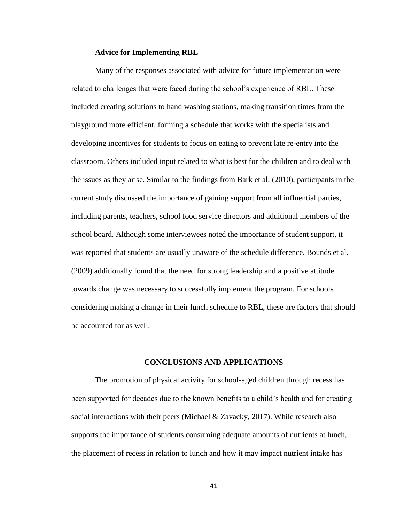#### **Advice for Implementing RBL**

Many of the responses associated with advice for future implementation were related to challenges that were faced during the school's experience of RBL. These included creating solutions to hand washing stations, making transition times from the playground more efficient, forming a schedule that works with the specialists and developing incentives for students to focus on eating to prevent late re-entry into the classroom. Others included input related to what is best for the children and to deal with the issues as they arise. Similar to the findings from Bark et al. (2010), participants in the current study discussed the importance of gaining support from all influential parties, including parents, teachers, school food service directors and additional members of the school board. Although some interviewees noted the importance of student support, it was reported that students are usually unaware of the schedule difference. Bounds et al. (2009) additionally found that the need for strong leadership and a positive attitude towards change was necessary to successfully implement the program. For schools considering making a change in their lunch schedule to RBL, these are factors that should be accounted for as well.

# **CONCLUSIONS AND APPLICATIONS**

The promotion of physical activity for school-aged children through recess has been supported for decades due to the known benefits to a child's health and for creating social interactions with their peers (Michael & Zavacky, 2017). While research also supports the importance of students consuming adequate amounts of nutrients at lunch, the placement of recess in relation to lunch and how it may impact nutrient intake has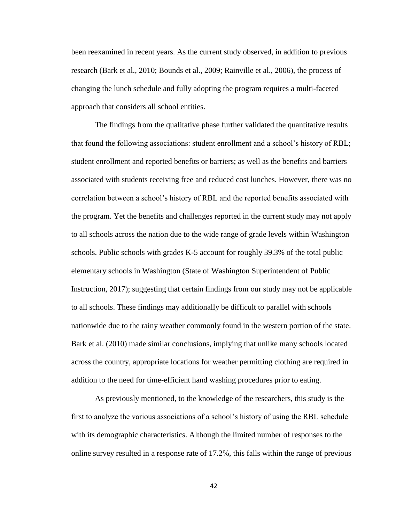been reexamined in recent years. As the current study observed, in addition to previous research (Bark et al., 2010; Bounds et al., 2009; Rainville et al., 2006), the process of changing the lunch schedule and fully adopting the program requires a multi-faceted approach that considers all school entities.

The findings from the qualitative phase further validated the quantitative results that found the following associations: student enrollment and a school's history of RBL; student enrollment and reported benefits or barriers; as well as the benefits and barriers associated with students receiving free and reduced cost lunches. However, there was no correlation between a school's history of RBL and the reported benefits associated with the program. Yet the benefits and challenges reported in the current study may not apply to all schools across the nation due to the wide range of grade levels within Washington schools. Public schools with grades K-5 account for roughly 39.3% of the total public elementary schools in Washington (State of Washington Superintendent of Public Instruction, 2017); suggesting that certain findings from our study may not be applicable to all schools. These findings may additionally be difficult to parallel with schools nationwide due to the rainy weather commonly found in the western portion of the state. Bark et al. (2010) made similar conclusions, implying that unlike many schools located across the country, appropriate locations for weather permitting clothing are required in addition to the need for time-efficient hand washing procedures prior to eating.

As previously mentioned, to the knowledge of the researchers, this study is the first to analyze the various associations of a school's history of using the RBL schedule with its demographic characteristics. Although the limited number of responses to the online survey resulted in a response rate of 17.2%, this falls within the range of previous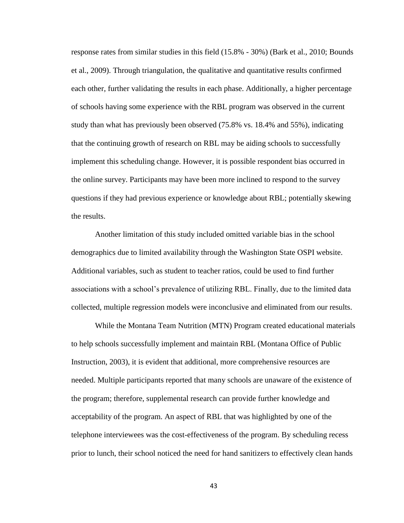response rates from similar studies in this field (15.8% - 30%) (Bark et al., 2010; Bounds et al., 2009). Through triangulation, the qualitative and quantitative results confirmed each other, further validating the results in each phase. Additionally, a higher percentage of schools having some experience with the RBL program was observed in the current study than what has previously been observed (75.8% vs. 18.4% and 55%), indicating that the continuing growth of research on RBL may be aiding schools to successfully implement this scheduling change. However, it is possible respondent bias occurred in the online survey. Participants may have been more inclined to respond to the survey questions if they had previous experience or knowledge about RBL; potentially skewing the results.

Another limitation of this study included omitted variable bias in the school demographics due to limited availability through the Washington State OSPI website. Additional variables, such as student to teacher ratios, could be used to find further associations with a school's prevalence of utilizing RBL. Finally, due to the limited data collected, multiple regression models were inconclusive and eliminated from our results.

While the Montana Team Nutrition (MTN) Program created educational materials to help schools successfully implement and maintain RBL (Montana Office of Public Instruction, 2003), it is evident that additional, more comprehensive resources are needed. Multiple participants reported that many schools are unaware of the existence of the program; therefore, supplemental research can provide further knowledge and acceptability of the program. An aspect of RBL that was highlighted by one of the telephone interviewees was the cost-effectiveness of the program. By scheduling recess prior to lunch, their school noticed the need for hand sanitizers to effectively clean hands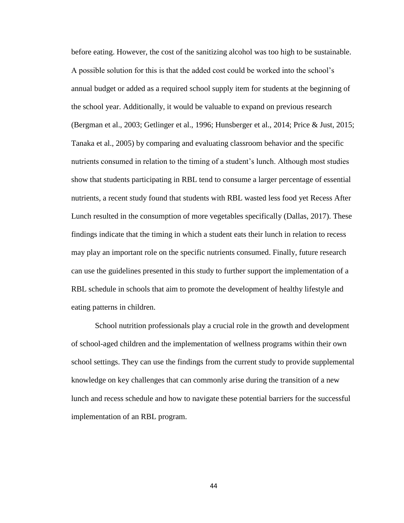before eating. However, the cost of the sanitizing alcohol was too high to be sustainable. A possible solution for this is that the added cost could be worked into the school's annual budget or added as a required school supply item for students at the beginning of the school year. Additionally, it would be valuable to expand on previous research (Bergman et al., 2003; Getlinger et al., 1996; Hunsberger et al., 2014; Price & Just, 2015; Tanaka et al., 2005) by comparing and evaluating classroom behavior and the specific nutrients consumed in relation to the timing of a student's lunch. Although most studies show that students participating in RBL tend to consume a larger percentage of essential nutrients, a recent study found that students with RBL wasted less food yet Recess After Lunch resulted in the consumption of more vegetables specifically (Dallas, 2017). These findings indicate that the timing in which a student eats their lunch in relation to recess may play an important role on the specific nutrients consumed. Finally, future research can use the guidelines presented in this study to further support the implementation of a RBL schedule in schools that aim to promote the development of healthy lifestyle and eating patterns in children.

School nutrition professionals play a crucial role in the growth and development of school-aged children and the implementation of wellness programs within their own school settings. They can use the findings from the current study to provide supplemental knowledge on key challenges that can commonly arise during the transition of a new lunch and recess schedule and how to navigate these potential barriers for the successful implementation of an RBL program.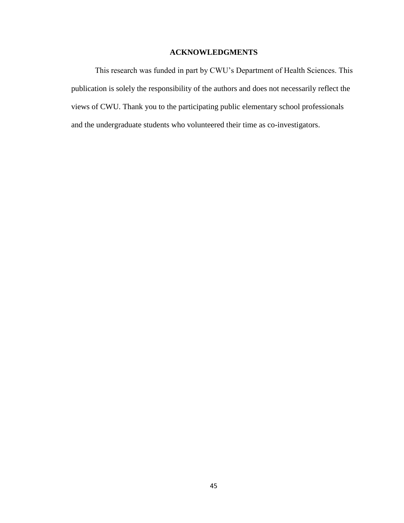# **ACKNOWLEDGMENTS**

This research was funded in part by CWU's Department of Health Sciences. This publication is solely the responsibility of the authors and does not necessarily reflect the views of CWU. Thank you to the participating public elementary school professionals and the undergraduate students who volunteered their time as co-investigators.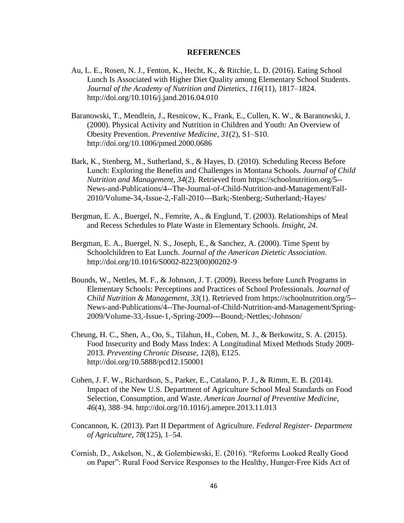#### **REFERENCES**

- Au, L. E., Rosen, N. J., Fenton, K., Hecht, K., & Ritchie, L. D. (2016). Eating School Lunch Is Associated with Higher Diet Quality among Elementary School Students. *Journal of the Academy of Nutrition and Dietetics*, *116*(11), 1817–1824. http://doi.org/10.1016/j.jand.2016.04.010
- Baranowski, T., Mendlein, J., Resnicow, K., Frank, E., Cullen, K. W., & Baranowski, J. (2000). Physical Activity and Nutrition in Children and Youth: An Overview of Obesity Prevention. *Preventive Medicine*, *31*(2), S1–S10. http://doi.org/10.1006/pmed.2000.0686
- Bark, K., Stenberg, M., Sutherland, S., & Hayes, D. (2010). Scheduling Recess Before Lunch: Exploring the Benefits and Challenges in Montana Schools. *Journal of Child Nutrition and Management*, *34*(2). Retrieved from https://schoolnutrition.org/5-- News-and-Publications/4--The-Journal-of-Child-Nutrition-and-Management/Fall-2010/Volume-34,-Issue-2,-Fall-2010---Bark;-Stenberg;-Sutherland;-Hayes/
- Bergman, E. A., Buergel, N., Femrite, A., & Englund, T. (2003). Relationships of Meal and Recess Schedules to Plate Waste in Elementary Schools. *Insight*, *24*.
- Bergman, E. A., Buergel, N. S., Joseph, E., & Sanchez, A. (2000). Time Spent by Schoolchildren to Eat Lunch. *Journal of the American Dietetic Association*. http://doi.org/10.1016/S0002-8223(00)00202-9
- Bounds, W., Nettles, M. F., & Johnson, J. T. (2009). Recess before Lunch Programs in Elementary Schools: Perceptions and Practices of School Professionals. *Journal of Child Nutrition & Management*, *33*(1). Retrieved from https://schoolnutrition.org/5-- News-and-Publications/4--The-Journal-of-Child-Nutrition-and-Management/Spring-2009/Volume-33,-Issue-1,-Spring-2009---Bound;-Nettles;-Johnson/
- Cheung, H. C., Shen, A., Oo, S., Tilahun, H., Cohen, M. J., & Berkowitz, S. A. (2015). Food Insecurity and Body Mass Index: A Longitudinal Mixed Methods Study 2009- 2013. *Preventing Chronic Disease*, *12*(8), E125. http://doi.org/10.5888/pcd12.150001
- Cohen, J. F. W., Richardson, S., Parker, E., Catalano, P. J., & Rimm, E. B. (2014). Impact of the New U.S. Department of Agriculture School Meal Standards on Food Selection, Consumption, and Waste. *American Journal of Preventive Medicine*, *46*(4), 388–94. http://doi.org/10.1016/j.amepre.2013.11.013
- Concannon, K. (2013). Part II Department of Agriculture. *Federal Register- Department of Agriculture*, *78*(125), 1–54.
- Cornish, D., Askelson, N., & Golembiewski, E. (2016). "Reforms Looked Really Good on Paper": Rural Food Service Responses to the Healthy, Hunger-Free Kids Act of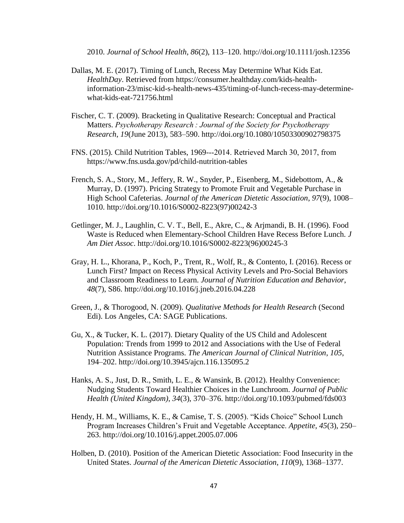2010. *Journal of School Health*, *86*(2), 113–120. http://doi.org/10.1111/josh.12356

- Dallas, M. E. (2017). Timing of Lunch, Recess May Determine What Kids Eat. *HealthDay*. Retrieved from https://consumer.healthday.com/kids-healthinformation-23/misc-kid-s-health-news-435/timing-of-lunch-recess-may-determinewhat-kids-eat-721756.html
- Fischer, C. T. (2009). Bracketing in Qualitative Research: Conceptual and Practical Matters. *Psychotherapy Research : Journal of the Society for Psychotherapy Research*, *19*(June 2013), 583–590. http://doi.org/10.1080/10503300902798375
- FNS. (2015). Child Nutrition Tables, 1969-‐2014. Retrieved March 30, 2017, from https://www.fns.usda.gov/pd/child-nutrition-tables
- French, S. A., Story, M., Jeffery, R. W., Snyder, P., Eisenberg, M., Sidebottom, A., & Murray, D. (1997). Pricing Strategy to Promote Fruit and Vegetable Purchase in High School Cafeterias. *Journal of the American Dietetic Association*, *97*(9), 1008– 1010. http://doi.org/10.1016/S0002-8223(97)00242-3
- Getlinger, M. J., Laughlin, C. V. T., Bell, E., Akre, C., & Arjmandi, B. H. (1996). Food Waste is Reduced when Elementary-School Children Have Recess Before Lunch. *J Am Diet Assoc*. http://doi.org/10.1016/S0002-8223(96)00245-3
- Gray, H. L., Khorana, P., Koch, P., Trent, R., Wolf, R., & Contento, I. (2016). Recess or Lunch First? Impact on Recess Physical Activity Levels and Pro-Social Behaviors and Classroom Readiness to Learn. *Journal of Nutrition Education and Behavior*, *48*(7), S86. http://doi.org/10.1016/j.jneb.2016.04.228
- Green, J., & Thorogood, N. (2009). *Qualitative Methods for Health Research* (Second Edi). Los Angeles, CA: SAGE Publications.
- Gu, X., & Tucker, K. L. (2017). Dietary Quality of the US Child and Adolescent Population: Trends from 1999 to 2012 and Associations with the Use of Federal Nutrition Assistance Programs. *The American Journal of Clinical Nutrition*, *105*, 194–202. http://doi.org/10.3945/ajcn.116.135095.2
- Hanks, A. S., Just, D. R., Smith, L. E., & Wansink, B. (2012). Healthy Convenience: Nudging Students Toward Healthier Choices in the Lunchroom. *Journal of Public Health (United Kingdom)*, *34*(3), 370–376. http://doi.org/10.1093/pubmed/fds003
- Hendy, H. M., Williams, K. E., & Camise, T. S. (2005). "Kids Choice" School Lunch Program Increases Children's Fruit and Vegetable Acceptance. *Appetite*, *45*(3), 250– 263. http://doi.org/10.1016/j.appet.2005.07.006
- Holben, D. (2010). Position of the American Dietetic Association: Food Insecurity in the United States. *Journal of the American Dietetic Association*, *110*(9), 1368–1377.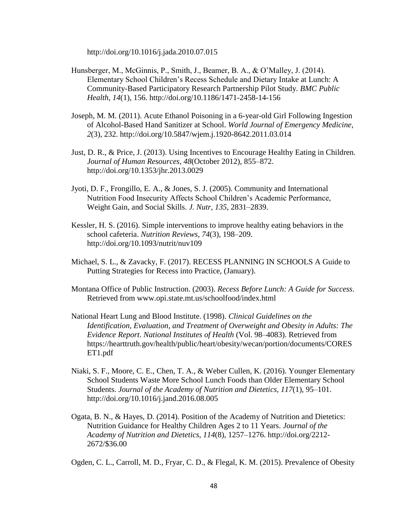http://doi.org/10.1016/j.jada.2010.07.015

- Hunsberger, M., McGinnis, P., Smith, J., Beamer, B. A., & O'Malley, J. (2014). Elementary School Children's Recess Schedule and Dietary Intake at Lunch: A Community-Based Participatory Research Partnership Pilot Study. *BMC Public Health*, *14*(1), 156. http://doi.org/10.1186/1471-2458-14-156
- Joseph, M. M. (2011). Acute Ethanol Poisoning in a 6-year-old Girl Following Ingestion of Alcohol-Based Hand Sanitizer at School. *World Journal of Emergency Medicine*, *2*(3), 232. http://doi.org/10.5847/wjem.j.1920-8642.2011.03.014
- Just, D. R., & Price, J. (2013). Using Incentives to Encourage Healthy Eating in Children. *Journal of Human Resources*, *48*(October 2012), 855–872. http://doi.org/10.1353/jhr.2013.0029
- Jyoti, D. F., Frongillo, E. A., & Jones, S. J. (2005). Community and International Nutrition Food Insecurity Affects School Children's Academic Performance, Weight Gain, and Social Skills. *J. Nutr*, *135*, 2831–2839.
- Kessler, H. S. (2016). Simple interventions to improve healthy eating behaviors in the school cafeteria. *Nutrition Reviews*, *74*(3), 198–209. http://doi.org/10.1093/nutrit/nuv109
- Michael, S. L., & Zavacky, F. (2017). RECESS PLANNING IN SCHOOLS A Guide to Putting Strategies for Recess into Practice, (January).
- Montana Office of Public Instruction. (2003). *Recess Before Lunch: A Guide for Success*. Retrieved from www.opi.state.mt.us/schoolfood/index.html
- National Heart Lung and Blood Institute. (1998). *Clinical Guidelines on the Identification, Evaluation, and Treatment of Overweight and Obesity in Adults: The Evidence Report*. *National Institutes of Health* (Vol. 98–4083). Retrieved from https://hearttruth.gov/health/public/heart/obesity/wecan/portion/documents/CORES ET1.pdf
- Niaki, S. F., Moore, C. E., Chen, T. A., & Weber Cullen, K. (2016). Younger Elementary School Students Waste More School Lunch Foods than Older Elementary School Students. *Journal of the Academy of Nutrition and Dietetics*, *117*(1), 95–101. http://doi.org/10.1016/j.jand.2016.08.005
- Ogata, B. N., & Hayes, D. (2014). Position of the Academy of Nutrition and Dietetics: Nutrition Guidance for Healthy Children Ages 2 to 11 Years. *Journal of the Academy of Nutrition and Dietetics*, *114*(8), 1257–1276. http://doi.org/2212- 2672/\$36.00

Ogden, C. L., Carroll, M. D., Fryar, C. D., & Flegal, K. M. (2015). Prevalence of Obesity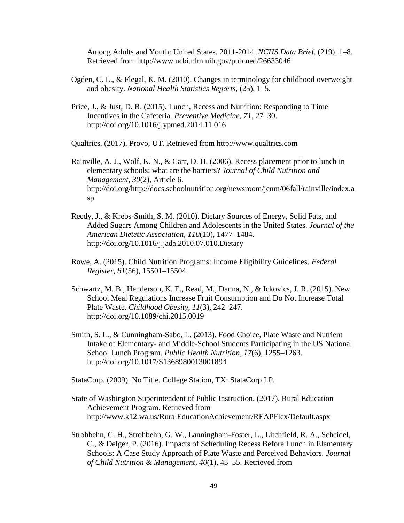Among Adults and Youth: United States, 2011-2014. *NCHS Data Brief*, (219), 1–8. Retrieved from http://www.ncbi.nlm.nih.gov/pubmed/26633046

- Ogden, C. L., & Flegal, K. M. (2010). Changes in terminology for childhood overweight and obesity. *National Health Statistics Reports*, (25), 1–5.
- Price, J., & Just, D. R. (2015). Lunch, Recess and Nutrition: Responding to Time Incentives in the Cafeteria. *Preventive Medicine*, *71*, 27–30. http://doi.org/10.1016/j.ypmed.2014.11.016

Qualtrics. (2017). Provo, UT. Retrieved from http://www.qualtrics.com

- Rainville, A. J., Wolf, K. N., & Carr, D. H. (2006). Recess placement prior to lunch in elementary schools: what are the barriers? *Journal of Child Nutrition and Management*, *30*(2), Article 6. http://doi.org/http://docs.schoolnutrition.org/newsroom/jcnm/06fall/rainville/index.a sp
- Reedy, J., & Krebs-Smith, S. M. (2010). Dietary Sources of Energy, Solid Fats, and Added Sugars Among Children and Adolescents in the United States. *Journal of the American Dietetic Association*, *110*(10), 1477–1484. http://doi.org/10.1016/j.jada.2010.07.010.Dietary
- Rowe, A. (2015). Child Nutrition Programs: Income Eligibility Guidelines. *Federal Register*, *81*(56), 15501–15504.
- Schwartz, M. B., Henderson, K. E., Read, M., Danna, N., & Ickovics, J. R. (2015). New School Meal Regulations Increase Fruit Consumption and Do Not Increase Total Plate Waste. *Childhood Obesity*, *11*(3), 242–247. http://doi.org/10.1089/chi.2015.0019
- Smith, S. L., & Cunningham-Sabo, L. (2013). Food Choice, Plate Waste and Nutrient Intake of Elementary- and Middle-School Students Participating in the US National School Lunch Program. *Public Health Nutrition*, *17*(6), 1255–1263. http://doi.org/10.1017/S1368980013001894

StataCorp. (2009). No Title. College Station, TX: StataCorp LP.

- State of Washington Superintendent of Public Instruction. (2017). Rural Education Achievement Program. Retrieved from http://www.k12.wa.us/RuralEducationAchievement/REAPFlex/Default.aspx
- Strohbehn, C. H., Strohbehn, G. W., Lanningham-Foster, L., Litchfield, R. A., Scheidel, C., & Delger, P. (2016). Impacts of Scheduling Recess Before Lunch in Elementary Schools: A Case Study Approach of Plate Waste and Perceived Behaviors. *Journal of Child Nutrition & Management*, *40*(1), 43–55. Retrieved from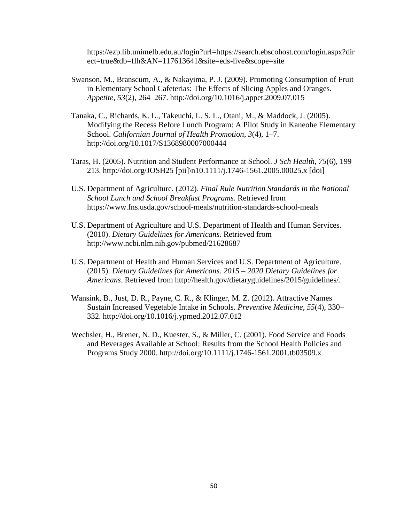https://ezp.lib.unimelb.edu.au/login?url=https://search.ebscohost.com/login.aspx?dir ect=true&db=flh&AN=117613641&site=eds-live&scope=site

- Swanson, M., Branscum, A., & Nakayima, P. J. (2009). Promoting Consumption of Fruit in Elementary School Cafeterias: The Effects of Slicing Apples and Oranges. *Appetite*, *53*(2), 264–267. http://doi.org/10.1016/j.appet.2009.07.015
- Tanaka, C., Richards, K. L., Takeuchi, L. S. L., Otani, M., & Maddock, J. (2005). Modifying the Recess Before Lunch Program: A Pilot Study in Kaneohe Elementary School. *Californian Journal of Health Promotion*, *3*(4), 1–7. http://doi.org/10.1017/S1368980007000444
- Taras, H. (2005). Nutrition and Student Performance at School. *J Sch Health*, *75*(6), 199– 213. http://doi.org/JOSH25 [pii]\n10.1111/j.1746-1561.2005.00025.x [doi]
- U.S. Department of Agriculture. (2012). *Final Rule Nutrition Standards in the National School Lunch and School Breakfast Programs*. Retrieved from https://www.fns.usda.gov/school-meals/nutrition-standards-school-meals
- U.S. Department of Agriculture and U.S. Department of Health and Human Services. (2010). *Dietary Guidelines for Americans*. Retrieved from http://www.ncbi.nlm.nih.gov/pubmed/21628687
- U.S. Department of Health and Human Services and U.S. Department of Agriculture. (2015). *Dietary Guidelines for Americans*. *2015 – 2020 Dietary Guidelines for Americans*. Retrieved from http://health.gov/dietaryguidelines/2015/guidelines/.
- Wansink, B., Just, D. R., Payne, C. R., & Klinger, M. Z. (2012). Attractive Names Sustain Increased Vegetable Intake in Schools. *Preventive Medicine*, *55*(4), 330– 332. http://doi.org/10.1016/j.ypmed.2012.07.012
- Wechsler, H., Brener, N. D., Kuester, S., & Miller, C. (2001). Food Service and Foods and Beverages Available at School: Results from the School Health Policies and Programs Study 2000. http://doi.org/10.1111/j.1746-1561.2001.tb03509.x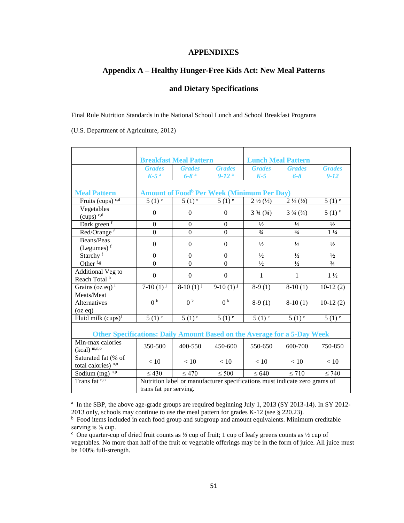# **APPENDIXES**

# **Appendix A – Healthy Hunger-Free Kids Act: New Meal Patterns**

# **and Dietary Specifications**

Final Rule Nutrition Standards in the National School Lunch and School Breakfast Programs

(U.S. Department of Agriculture, 2012)

|                                                                          | <b>Breakfast Meal Pattern</b>                                              |                      | <b>Lunch Meal Pattern</b> |                                  |                             |                     |
|--------------------------------------------------------------------------|----------------------------------------------------------------------------|----------------------|---------------------------|----------------------------------|-----------------------------|---------------------|
|                                                                          | <b>Grades</b>                                                              | <b>Grades</b>        | <b>Grades</b>             | <b>Grades</b>                    | <b>Grades</b>               | <b>Grades</b>       |
|                                                                          | $K-5$ <sup>a</sup>                                                         | $6 - 8$ <sup>a</sup> | $9-12a$                   | $K-5$                            | $6 - 8$                     | $9 - 12$            |
|                                                                          |                                                                            |                      |                           |                                  |                             |                     |
| <b>Meal Pattern</b>                                                      | <b>Amount of Food<sup>b</sup> Per Week (Minimum Per Day)</b>               |                      |                           |                                  |                             |                     |
| Fruits (cups) $c,d$                                                      | $5(1)^{e}$                                                                 | $5(1)^{\frac{1}{e}}$ | $5(1)^{e}$                | $2\frac{1}{2}(\frac{1}{2})$      | $2\frac{1}{2}(\frac{1}{2})$ | $5(1)$ <sup>e</sup> |
| Vegetables                                                               | $\overline{0}$                                                             | $\Omega$             | $\theta$                  | $3\frac{3}{4}$ ( $\frac{3}{4}$ ) | $3\frac{3}{4}(3/4)$         | $5(1)$ <sup>e</sup> |
| $(cups)$ <sup>c,d</sup>                                                  |                                                                            |                      |                           |                                  |                             |                     |
| Dark green <sup>f</sup>                                                  | $\Omega$                                                                   | $\Omega$             | $\Omega$                  | $\frac{1}{2}$                    | $\frac{1}{2}$               | $\frac{1}{2}$       |
| Red/Orange <sup>f</sup>                                                  | $\overline{0}$                                                             | $\Omega$             | $\theta$                  | $\frac{3}{4}$                    | $\frac{3}{4}$               | $1\frac{1}{4}$      |
| Beans/Peas                                                               | $\Omega$                                                                   | $\Omega$             | $\theta$                  | $\frac{1}{2}$                    | $\frac{1}{2}$               | $\frac{1}{2}$       |
| (Legumes) $f$                                                            |                                                                            |                      |                           |                                  |                             |                     |
| Starchy <sup>f</sup>                                                     | $\overline{0}$                                                             | $\mathbf{0}$         | $\Omega$                  | $\frac{1}{2}$                    | $\frac{1}{2}$               | $\frac{1}{2}$       |
| Other <sup>f,g</sup>                                                     | $\overline{0}$                                                             | $\overline{0}$       | $\overline{0}$            | $\frac{1}{2}$                    | $\frac{1}{2}$               | $\frac{3}{4}$       |
| Additional Veg to                                                        | $\boldsymbol{0}$                                                           | $\Omega$             | $\theta$                  | $\mathbf{1}$                     | $\mathbf{1}$                | $1\frac{1}{2}$      |
| Reach Total h                                                            |                                                                            |                      |                           |                                  |                             |                     |
| Grains (oz eq) $^{i}$                                                    | 7-10 $(1)^{j}$                                                             | $8-10(1)^{j}$        | $9-10(1)^{j}$             | $8-9(1)$                         | $8-10(1)$                   | $10-12(2)$          |
| Meats/Meat                                                               |                                                                            |                      |                           |                                  |                             |                     |
| Alternatives                                                             | 0 <sup>k</sup>                                                             | 0 <sup>k</sup>       | 0 <sup>k</sup>            | $8-9(1)$                         | $8-10(1)$                   | $10-12(2)$          |
| (oz eq)                                                                  |                                                                            |                      |                           |                                  |                             |                     |
| Fluid milk $(cups)^{1}$                                                  | $5(1)$ <sup>e</sup>                                                        | $5(1)$ <sup>e</sup>  | $5(1)$ <sup>e</sup>       | $5(1)$ <sup>e</sup>              | $5(1)$ <sup>e</sup>         | $5(1)$ <sup>e</sup> |
|                                                                          |                                                                            |                      |                           |                                  |                             |                     |
| Other Specifications: Daily Amount Based on the Average for a 5-Day Week |                                                                            |                      |                           |                                  |                             |                     |
| Min-max calories                                                         | 350-500                                                                    | 400-550              | 450-600                   | 550-650                          | 600-700                     | 750-850             |
| $(kcal)$ <sup>m,n,o</sup>                                                |                                                                            |                      |                           |                                  |                             |                     |
| Saturated fat (% of                                                      | < 10                                                                       | < 10                 | < 10                      | < 10                             | < 10                        | < 10                |
| total calories) <sup>n,o</sup>                                           |                                                                            |                      |                           |                                  |                             |                     |
| Sodium $(mg)^{n,p}$                                                      | $\leq 430$                                                                 | $\leq 470$           | $\leq 500$                | $\leq 640$                       | $\leq 710$                  | $\leq 740$          |
| Trans fat <sup>n,o</sup>                                                 | Nutrition label or manufacturer specifications must indicate zero grams of |                      |                           |                                  |                             |                     |
|                                                                          | trans fat per serving.                                                     |                      |                           |                                  |                             |                     |

<sup>a</sup> In the SBP, the above age-grade groups are required beginning July 1, 2013 (SY 2013-14). In SY 2012-2013 only, schools may continue to use the meal pattern for grades K-12 (see § 220.23).

<sup>b</sup> Food items included in each food group and subgroup and amount equivalents. Minimum creditable serving is  $\frac{1}{8}$  cup.

 $c$  One quarter-cup of dried fruit counts as  $\frac{1}{2}$  cup of fruit; 1 cup of leafy greens counts as  $\frac{1}{2}$  cup of vegetables. No more than half of the fruit or vegetable offerings may be in the form of juice. All juice must be 100% full-strength.